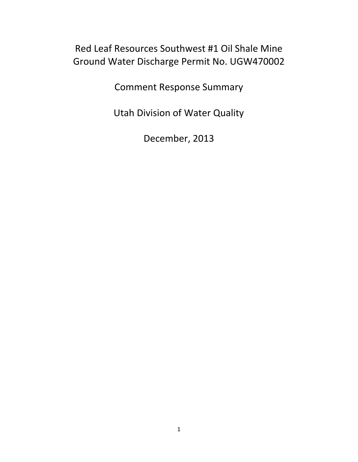# Red Leaf Resources Southwest #1 Oil Shale Mine Ground Water Discharge Permit No. UGW470002

Comment Response Summary

Utah Division of Water Quality

December, 2013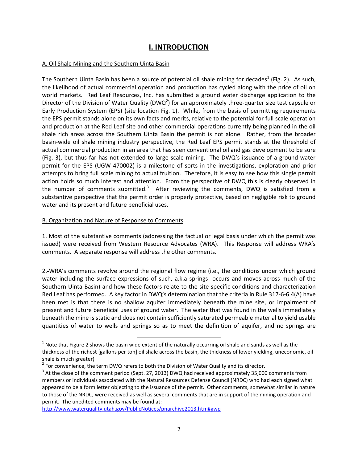## **I. INTRODUCTION**

#### A. Oil Shale Mining and the Southern Uinta Basin

The Southern Uinta Basin has been a source of potential oil shale mining for decades<sup>1</sup> (Fig. 2). As such, the likelihood of actual commercial operation and production has cycled along with the price of oil on world markets. Red Leaf Resources, Inc. has submitted a ground water discharge application to the Director of the Division of Water Quality (DWQ<sup>2</sup>) for an approximately three-quarter size test capsule or Early Production System (EPS) (site location Fig. 1). While, from the basis of permitting requirements the EPS permit stands alone on its own facts and merits, relative to the potential for full scale operation and production at the Red Leaf site and other commercial operations currently being planned in the oil shale rich areas across the Southern Uinta Basin the permit is not alone. Rather, from the broader basin-wide oil shale mining industry perspective, the Red Leaf EPS permit stands at the threshold of actual commercial production in an area that has seen conventional oil and gas development to be sure (Fig. 3), but thus far has not extended to large scale mining. The DWQ's issuance of a ground water permit for the EPS (UGW 470002) is a milestone of sorts in the investigations, exploration and prior attempts to bring full scale mining to actual fruition. Therefore, it is easy to see how this single permit action holds so much interest and attention. From the perspective of DWQ this is clearly observed in the number of comments submitted.<sup>3</sup> After reviewing the comments, DWQ is satisfied from a substantive perspective that the permit order is properly protective, based on negligible risk to ground water and its present and future beneficial uses.

#### B. Organization and Nature of Response to Comments

1. Most of the substantive comments (addressing the factual or legal basis under which the permit was issued) were received from Western Resource Advocates (WRA). This Response will address WRA's comments. A separate response will address the other comments.

2. WRA's comments revolve around the regional flow regime (i.e., the conditions under which ground water-including the surface expressions of such, a.k.a springs- occurs and moves across much of the Southern Uinta Basin) and how these factors relate to the site specific conditions and characterization Red Leaf has performed. A key factor in DWQ's determination that the criteria in Rule 317-6-6.4(A) have been met is that there is no shallow aquifer immediately beneath the mine site, or impairment of present and future beneficial uses of ground water. The water that was found in the wells immediately beneath the mine is static and does not contain sufficiently saturated permeable material to yield usable quantities of water to wells and springs so as to meet the definition of aquifer, and no springs are

<http://www.waterquality.utah.gov/PublicNotices/pnarchive2013.htm#gwp>

 $\overline{\phantom{a}}$ 

 $^1$  Note that Figure 2 shows the basin wide extent of the naturally occurring oil shale and sands as well as the thickness of the richest [gallons per ton] oil shale across the basin, the thickness of lower yielding, uneconomic, oil shale is much greater)

 $2$  For convenience, the term DWQ refers to both the Division of Water Quality and its director.

 $^3$  At the close of the comment period (Sept. 27, 2013) DWQ had received approximately 35,000 comments from members or individuals associated with the Natural Resources Defense Council (NRDC) who had each signed what appeared to be a form letter objecting to the issuance of the permit. Other comments, somewhat similar in nature to those of the NRDC, were received as well as several comments that are in support of the mining operation and permit. The unedited comments may be found at: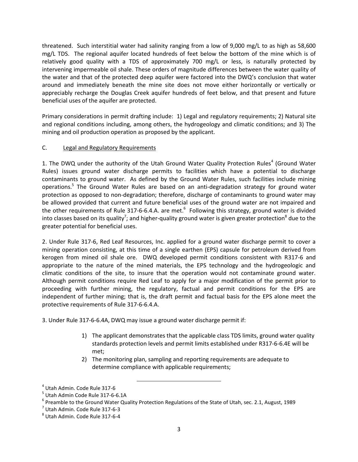threatened. Such interstitial water had salinity ranging from a low of 9,000 mg/L to as high as 58,600 mg/L TDS. The regional aquifer located hundreds of feet below the bottom of the mine which is of relatively good quality with a TDS of approximately 700 mg/L or less, is naturally protected by intervening impermeable oil shale. These orders of magnitude differences between the water quality of the water and that of the protected deep aquifer were factored into the DWQ's conclusion that water around and immediately beneath the mine site does not move either horizontally or vertically or appreciably recharge the Douglas Creek aquifer hundreds of feet below, and that present and future beneficial uses of the aquifer are protected.

Primary considerations in permit drafting include: 1) Legal and regulatory requirements; 2) Natural site and regional conditions including, among others, the hydrogeology and climatic conditions; and 3) The mining and oil production operation as proposed by the applicant.

## C. Legal and Regulatory Requirements

1. The DWQ under the authority of the Utah Ground Water Quality Protection Rules<sup>4</sup> (Ground Water Rules) issues ground water discharge permits to facilities which have a potential to discharge contaminants to ground water. As defined by the Ground Water Rules, such facilities include mining operations.<sup>5</sup> The Ground Water Rules are based on an anti-degradation strategy for ground water protection as opposed to non-degradation; therefore, discharge of contaminants to ground water may be allowed provided that current and future beneficial uses of the ground water are not impaired and the other requirements of Rule 317-6-6.4.A. are met. $^6$  Following this strategy, ground water is divided into classes based on its quality<sup>7</sup>; and higher-quality ground water is given greater protection<sup>8</sup> due to the greater potential for beneficial uses.

2. Under Rule 317-6, Red Leaf Resources, Inc. applied for a ground water discharge permit to cover a mining operation consisting, at this time of a single earthen (EPS) capsule for petroleum derived from kerogen from mined oil shale ore. DWQ developed permit conditions consistent with R317-6 and appropriate to the nature of the mined materials, the EPS technology and the hydrogeologic and climatic conditions of the site, to insure that the operation would not contaminate ground water. Although permit conditions require Red Leaf to apply for a major modification of the permit prior to proceeding with further mining, the regulatory, factual and permit conditions for the EPS are independent of further mining; that is, the draft permit and factual basis for the EPS alone meet the protective requirements of Rule 317-6-6.4.A.

3. Under Rule 317-6-6.4A, DWQ may issue a ground water discharge permit if:

l

- 1) The applicant demonstrates that the applicable class TDS limits, ground water quality standards protection levels and permit limits established under R317-6-6.4E will be met;
- 2) The monitoring plan, sampling and reporting requirements are adequate to determine compliance with applicable requirements;

<sup>4</sup> Utah Admin. Code Rule 317-6

<sup>5</sup> Utah Admin Code Rule 317-6-6.1A

<sup>&</sup>lt;sup>6</sup> Preamble to the Ground Water Quality Protection Regulations of the State of Utah, sec. 2.1, August, 1989

 $<sup>7</sup>$  Utah Admin. Code Rule 317-6-3</sup>

<sup>8</sup> Utah Admin. Code Rule 317-6-4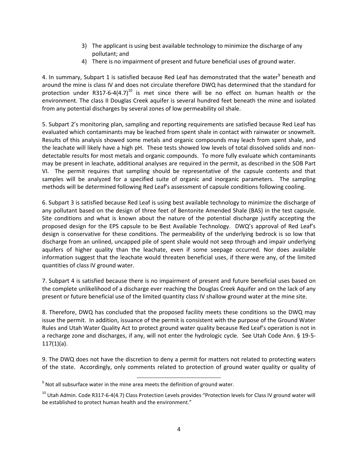- 3) The applicant is using best available technology to minimize the discharge of any pollutant; and
- 4) There is no impairment of present and future beneficial uses of ground water.

4. In summary, Subpart 1 is satisfied because Red Leaf has demonstrated that the water<sup>9</sup> beneath and around the mine is class IV and does not circulate therefore DWQ has determined that the standard for protection under R317-6-4(4.7)<sup>10</sup> is met since there will be no effect on human health or the environment. The class II Douglas Creek aquifer is several hundred feet beneath the mine and isolated from any potential discharges by several zones of low permeability oil shale.

5. Subpart 2's monitoring plan, sampling and reporting requirements are satisfied because Red Leaf has evaluated which contaminants may be leached from spent shale in contact with rainwater or snowmelt. Results of this analysis showed some metals and organic compounds may leach from spent shale, and the leachate will likely have a high pH. These tests showed low levels of total dissolved solids and nondetectable results for most metals and organic compounds. To more fully evaluate which contaminants may be present in leachate, additional analyses are required in the permit, as described in the SOB Part VI. The permit requires that sampling should be representative of the capsule contents and that samples will be analyzed for a specified suite of organic and inorganic parameters. The sampling methods will be determined following Red Leaf's assessment of capsule conditions following cooling.

6. Subpart 3 is satisfied because Red Leaf is using best available technology to minimize the discharge of any pollutant based on the design of three feet of Bentonite Amended Shale (BAS) in the test capsule. Site conditions and what is known about the nature of the potential discharge justify accepting the proposed design for the EPS capsule to be Best Available Technology. DWQ's approval of Red Leaf's design is conservative for these conditions. The permeability of the underlying bedrock is so low that discharge from an unlined, uncapped pile of spent shale would not seep through and impair underlying aquifers of higher quality than the leachate, even if some seepage occurred. Nor does available information suggest that the leachate would threaten beneficial uses, if there were any, of the limited quantities of class IV ground water.

7. Subpart 4 is satisfied because there is no impairment of present and future beneficial uses based on the complete unlikelihood of a discharge ever reaching the Douglas Creek Aquifer and on the lack of any present or future beneficial use of the limited quantity class IV shallow ground water at the mine site.

8. Therefore, DWQ has concluded that the proposed facility meets these conditions so the DWQ may issue the permit. In addition, issuance of the permit is consistent with the purpose of the Ground Water Rules and Utah Water Quality Act to protect ground water quality because Red Leaf's operation is not in a recharge zone and discharges, if any, will not enter the hydrologic cycle. See Utah Code Ann. § 19-5-  $117(1)(a)$ .

9. The DWQ does not have the discretion to deny a permit for matters not related to protecting waters of the state. Accordingly, only comments related to protection of ground water quality or quality of

l  $^{9}$  Not all subsurface water in the mine area meets the definition of ground water.

<sup>&</sup>lt;sup>10</sup> Utah Admin. Code R317-6-4(4.7) Class Protection Levels provides "Protection levels for Class IV ground water will be established to protect human health and the environment."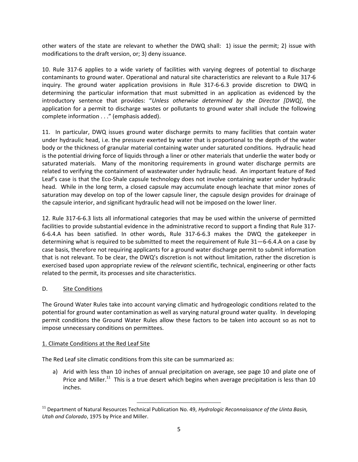other waters of the state are relevant to whether the DWQ shall: 1) issue the permit; 2) issue with modifications to the draft version, or; 3) deny issuance.

10. Rule 317-6 applies to a wide variety of facilities with varying degrees of potential to discharge contaminants to ground water. Operational and natural site characteristics are relevant to a Rule 317-6 inquiry. The ground water application provisions in Rule 317-6-6.3 provide discretion to DWQ in determining the particular information that must submitted in an application as evidenced by the introductory sentence that provides: "*Unless otherwise determined by the Director [DWQ]*, the application for a permit to discharge wastes or pollutants to ground water shall include the following complete information . . ." (emphasis added).

11. In particular, DWQ issues ground water discharge permits to many facilities that contain water under hydraulic head, i.e. the pressure exerted by water that is proportional to the depth of the water body or the thickness of granular material containing water under saturated conditions. Hydraulic head is the potential driving force of liquids through a liner or other materials that underlie the water body or saturated materials. Many of the monitoring requirements in ground water discharge permits are related to verifying the containment of wastewater under hydraulic head. An important feature of Red Leaf's case is that the Eco-Shale capsule technology does not involve containing water under hydraulic head. While in the long term, a closed capsule may accumulate enough leachate that minor zones of saturation may develop on top of the lower capsule liner, the capsule design provides for drainage of the capsule interior, and significant hydraulic head will not be imposed on the lower liner.

12. Rule 317-6-6.3 lists all informational categories that may be used within the universe of permitted facilities to provide substantial evidence in the administrative record to support a finding that Rule 317- 6-6.4.A has been satisfied. In other words, Rule 317-6-6.3 makes the DWQ the gatekeeper in determining what is required to be submitted to meet the requirement of Rule 31—6-6.4.A on a case by case basis, therefore not requiring applicants for a ground water discharge permit to submit information that is not relevant. To be clear, the DWQ's discretion is not without limitation, rather the discretion is exercised based upon appropriate review of the *relevant* scientific, technical, engineering or other facts related to the permit, its processes and site characteristics.

## D. Site Conditions

The Ground Water Rules take into account varying climatic and hydrogeologic conditions related to the potential for ground water contamination as well as varying natural ground water quality. In developing permit conditions the Ground Water Rules allow these factors to be taken into account so as not to impose unnecessary conditions on permittees.

#### 1. Climate Conditions at the Red Leaf Site

The Red Leaf site climatic conditions from this site can be summarized as:

l

a) Arid with less than 10 inches of annual precipitation on average, see page 10 and plate one of Price and Miller.<sup>11</sup> This is a true desert which begins when average precipitation is less than 10 inches.

<sup>&</sup>lt;sup>11</sup> Department of Natural Resources Technical Publication No. 49, *Hydrologic Reconnaissance of the Uinta Basin, Utah and Colorado*, 1975 by Price and Miller.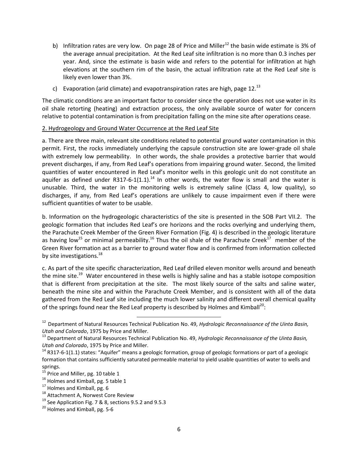- b) Infiltration rates are very low. On page 28 of Price and Miller<sup>12</sup> the basin wide estimate is 3% of the average annual precipitation. At the Red Leaf site infiltration is no more than 0.3 inches per year. And, since the estimate is basin wide and refers to the potential for infiltration at high elevations at the southern rim of the basin, the actual infiltration rate at the Red Leaf site is likely even lower than 3%.
- c) Evaporation (arid climate) and evapotranspiration rates are high, page  $12.^{13}$

The climatic conditions are an important factor to consider since the operation does not use water in its oil shale retorting (heating) and extraction process, the only available source of water for concern relative to potential contamination is from precipitation falling on the mine site after operations cease.

#### 2. Hydrogeology and Ground Water Occurrence at the Red Leaf Site

a. There are three main, relevant site conditions related to potential ground water contamination in this permit. First, the rocks immediately underlying the capsule construction site are lower-grade oil shale with extremely low permeability. In other words, the shale provides a protective barrier that would prevent discharges, if any, from Red Leaf's operations from impairing ground water. Second, the limited quantities of water encountered in Red Leaf's monitor wells in this geologic unit do not constitute an aquifer as defined under R317-6-1(1.1).<sup>14</sup> In other words, the water flow is small and the water is unusable. Third, the water in the monitoring wells is extremely saline (Class 4, low quality), so discharges, if any, from Red Leaf's operations are unlikely to cause impairment even if there were sufficient quantities of water to be usable.

b. Information on the hydrogeologic characteristics of the site is presented in the SOB Part VII.2. The geologic formation that includes Red Leaf's ore horizons and the rocks overlying and underlying them, the Parachute Creek Member of the Green River Formation (Fig. 4) is described in the geologic literature as having low<sup>15</sup> or minimal permeability.<sup>16</sup> Thus the oil shale of the Parachute Creek<sup>17</sup> member of the Green River formation act as a barrier to ground water flow and is confirmed from information collected by site investigations.<sup>18</sup>

c. As part of the site specific characterization, Red Leaf drilled eleven monitor wells around and beneath the mine site.<sup>19</sup> Water encountered in these wells is highly saline and has a stable isotope composition that is different from precipitation at the site. The most likely source of the salts and saline water, beneath the mine site and within the Parachute Creek Member, and is consistent with all of the data gathered from the Red Leaf site including the much lower salinity and different overall chemical quality of the springs found near the Red Leaf property is described by Holmes and Kimball<sup>20</sup>:

 $\overline{\phantom{a}}$ 

<sup>&</sup>lt;sup>12</sup> Department of Natural Resources Technical Publication No. 49, *Hydrologic Reconnaissance of the Uinta Basin, Utah and Colorado*, 1975 by Price and Miller.

<sup>13</sup> Department of Natural Resources Technical Publication No. 49, *Hydrologic Reconnaissance of the Uinta Basin, Utah and Colorado*, 1975 by Price and Miller.

<sup>&</sup>lt;sup>14</sup> R317-6-1(1.1) states: "Aquifer" means a geologic formation, group of geologic formations or part of a geologic formation that contains sufficiently saturated permeable material to yield usable quantities of water to wells and springs.

<sup>&</sup>lt;sup>15</sup> Price and Miller, pg. 10 table 1

<sup>&</sup>lt;sup>16</sup> Holmes and Kimball, pg. 5 table 1

<sup>&</sup>lt;sup>17</sup> Holmes and Kimball, pg. 6

<sup>&</sup>lt;sup>18</sup> Attachment A, Norwest Core Review

<sup>&</sup>lt;sup>19</sup> See Application Fig. 7 & 8, sections 9.5.2 and 9.5.3

 $20$  Holmes and Kimball, pg. 5-6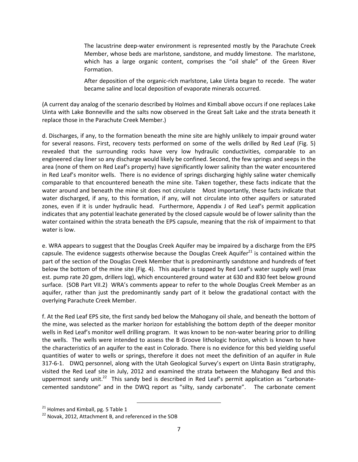The lacustrine deep-water environment is represented mostly by the Parachute Creek Member, whose beds are marlstone, sandstone, and muddy limestone. The marlstone, which has a large organic content, comprises the "oil shale" of the Green River Formation.

After deposition of the organic-rich marlstone, Lake Uinta began to recede. The water became saline and local deposition of evaporate minerals occurred.

(A current day analog of the scenario described by Holmes and Kimball above occurs if one replaces Lake Uinta with Lake Bonneville and the salts now observed in the Great Salt Lake and the strata beneath it replace those in the Parachute Creek Member.)

d. Discharges, if any, to the formation beneath the mine site are highly unlikely to impair ground water for several reasons. First, recovery tests performed on some of the wells drilled by Red Leaf (Fig. 5) revealed that the surrounding rocks have very low hydraulic conductivities, comparable to an engineered clay liner so any discharge would likely be confined. Second, the few springs and seeps in the area (none of them on Red Leaf's property) have significantly lower salinity than the water encountered in Red Leaf's monitor wells. There is no evidence of springs discharging highly saline water chemically comparable to that encountered beneath the mine site. Taken together, these facts indicate that the water around and beneath the mine sit does not circulate Most importantly, these facts indicate that water discharged, if any, to this formation, if any, will not circulate into other aquifers or saturated zones, even if it is under hydraulic head. Furthermore, Appendix J of Red Leaf's permit application indicates that any potential leachate generated by the closed capsule would be of lower salinity than the water contained within the strata beneath the EPS capsule, meaning that the risk of impairment to that water is low.

e. WRA appears to suggest that the Douglas Creek Aquifer may be impaired by a discharge from the EPS capsule. The evidence suggests otherwise because the Douglas Creek Aquifer $^{21}$  is contained within the part of the section of the Douglas Creek Member that is predominantly sandstone and hundreds of feet below the bottom of the mine site (Fig. 4). This aquifer is tapped by Red Leaf's water supply well (max est. pump rate 20 gpm, drillers log), which encountered ground water at 630 and 830 feet below ground surface. (SOB Part VII.2) WRA's comments appear to refer to the whole Douglas Creek Member as an aquifer, rather than just the predominantly sandy part of it below the gradational contact with the overlying Parachute Creek Member.

f. At the Red Leaf EPS site, the first sandy bed below the Mahogany oil shale, and beneath the bottom of the mine, was selected as the marker horizon for establishing the bottom depth of the deeper monitor wells in Red Leaf's monitor well drilling program. It was known to be non-water bearing prior to drilling the wells. The wells were intended to assess the B Groove lithologic horizon, which is known to have the characteristics of an aquifer to the east in Colorado. There is no evidence for this bed yielding useful quantities of water to wells or springs, therefore it does not meet the definition of an aquifer in Rule 317-6-1. DWQ personnel, along with the Utah Geological Survey's expert on Uinta Basin stratigraphy, visited the Red Leaf site in July, 2012 and examined the strata between the Mahogany Bed and this uppermost sandy unit.<sup>22</sup> This sandy bed is described in Red Leaf's permit application as "carbonatecemented sandstone" and in the DWQ report as "silty, sandy carbonate". The carbonate cement

l

 $21$  Holmes and Kimball, pg. 5 Table 1

 $22$  Novak, 2012, Attachment B, and referenced in the SOB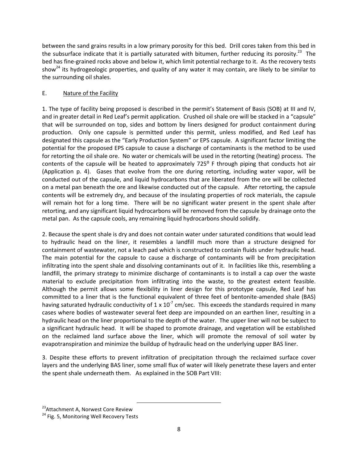between the sand grains results in a low primary porosity for this bed. Drill cores taken from this bed in the subsurface indicate that it is partially saturated with bitumen, further reducing its porosity.<sup>23</sup> The bed has fine-grained rocks above and below it, which limit potential recharge to it. As the recovery tests show<sup>24</sup> its hydrogeologic properties, and quality of any water it may contain, are likely to be similar to the surrounding oil shales.

## E. Nature of the Facility

1. The type of facility being proposed is described in the permit's Statement of Basis (SOB) at III and IV, and in greater detail in Red Leaf's permit application. Crushed oil shale ore will be stacked in a "capsule" that will be surrounded on top, sides and bottom by liners designed for product containment during production. Only one capsule is permitted under this permit, unless modified, and Red Leaf has designated this capsule as the "Early Production System" or EPS capsule. A significant factor limiting the potential for the proposed EPS capsule to cause a discharge of contaminants is the method to be used for retorting the oil shale ore. No water or chemicals will be used in the retorting (heating) process. The contents of the capsule will be heated to approximately 725° F through piping that conducts hot air (Application p. 4). Gases that evolve from the ore during retorting, including water vapor, will be conducted out of the capsule, and liquid hydrocarbons that are liberated from the ore will be collected on a metal pan beneath the ore and likewise conducted out of the capsule. After retorting, the capsule contents will be extremely dry, and because of the insulating properties of rock materials, the capsule will remain hot for a long time. There will be no significant water present in the spent shale after retorting, and any significant liquid hydrocarbons will be removed from the capsule by drainage onto the metal pan. As the capsule cools, any remaining liquid hydrocarbons should solidify.

2. Because the spent shale is dry and does not contain water under saturated conditions that would lead to hydraulic head on the liner, it resembles a landfill much more than a structure designed for containment of wastewater, not a leach pad which is constructed to contain fluids under hydraulic head. The main potential for the capsule to cause a discharge of contaminants will be from precipitation infiltrating into the spent shale and dissolving contaminants out of it. In facilities like this, resembling a landfill, the primary strategy to minimize discharge of contaminants is to install a cap over the waste material to exclude precipitation from infiltrating into the waste, to the greatest extent feasible. Although the permit allows some flexibility in liner design for this prototype capsule, Red Leaf has committed to a liner that is the functional equivalent of three feet of bentonite-amended shale (BAS) having saturated hydraulic conductivity of 1 x 10<sup>-7</sup> cm/sec. This exceeds the standards required in many cases where bodies of wastewater several feet deep are impounded on an earthen liner, resulting in a hydraulic head on the liner proportional to the depth of the water. The upper liner will not be subject to a significant hydraulic head. It will be shaped to promote drainage, and vegetation will be established on the reclaimed land surface above the liner, which will promote the removal of soil water by evapotranspiration and minimize the buildup of hydraulic head on the underlying upper BAS liner.

3. Despite these efforts to prevent infiltration of precipitation through the reclaimed surface cover layers and the underlying BAS liner, some small flux of water will likely penetrate these layers and enter the spent shale underneath them. As explained in the SOB Part VIII:

l

<sup>&</sup>lt;sup>23</sup>Attachment A, Norwest Core Review

<sup>&</sup>lt;sup>24</sup> Fig. 5, Monitoring Well Recovery Tests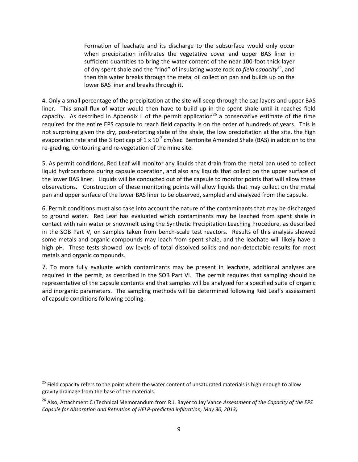Formation of leachate and its discharge to the subsurface would only occur when precipitation infiltrates the vegetative cover and upper BAS liner in sufficient quantities to bring the water content of the near 100-foot thick layer of dry spent shale and the "rind" of insulating waste rock *to field capacity<sup>25</sup>* , and then this water breaks through the metal oil collection pan and builds up on the lower BAS liner and breaks through it.

4. Only a small percentage of the precipitation at the site will seep through the cap layers and upper BAS liner. This small flux of water would then have to build up in the spent shale until it reaches field capacity. As described in Appendix L of the permit application<sup>26</sup> a conservative estimate of the time required for the entire EPS capsule to reach field capacity is on the order of hundreds of years. This is not surprising given the dry, post-retorting state of the shale, the low precipitation at the site, the high evaporation rate and the 3 foot cap of 1 x 10<sup>-7</sup> cm/sec Bentonite Amended Shale (BAS) in addition to the re-grading, contouring and re-vegetation of the mine site.

5. As permit conditions, Red Leaf will monitor any liquids that drain from the metal pan used to collect liquid hydrocarbons during capsule operation, and also any liquids that collect on the upper surface of the lower BAS liner. Liquids will be conducted out of the capsule to monitor points that will allow these observations. Construction of these monitoring points will allow liquids that may collect on the metal pan and upper surface of the lower BAS liner to be observed, sampled and analyzed from the capsule.

6. Permit conditions must also take into account the nature of the contaminants that may be discharged to ground water. Red Leaf has evaluated which contaminants may be leached from spent shale in contact with rain water or snowmelt using the Synthetic Precipitation Leaching Procedure, as described in the SOB Part V, on samples taken from bench-scale test reactors. Results of this analysis showed some metals and organic compounds may leach from spent shale, and the leachate will likely have a high pH. These tests showed low levels of total dissolved solids and non-detectable results for most metals and organic compounds.

7. To more fully evaluate which contaminants may be present in leachate, additional analyses are required in the permit, as described in the SOB Part VI. The permit requires that sampling should be representative of the capsule contents and that samples will be analyzed for a specified suite of organic and inorganic parameters. The sampling methods will be determined following Red Leaf's assessment of capsule conditions following cooling.

<sup>25</sup> Field capacity refers to the point where the water content of unsaturated materials is high enough to allow gravity drainage from the base of the materials.

26 Also, Attachment C (Technical Memorandum from R.J. Bayer to Jay Vance *Assessment of the Capacity of the EPS Capsule for Absorption and Retention of HELP-predicted infiltration, May 30, 2013)*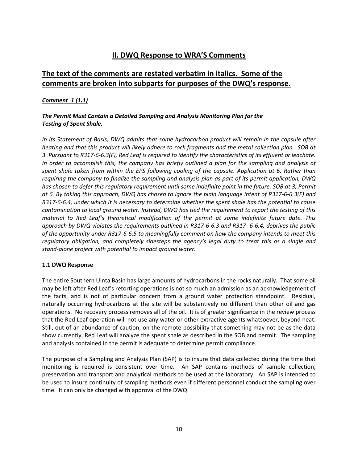## **II. DWQ Response to WRA'S Comments**

## **The text of the comments are restated verbatim in italics. Some of the comments are broken into subparts for purposes of the DWQ's response.**

## *Comment 1 (1.1)*

## *The Permit Must Contain a Detailed Sampling and Analysis Monitoring Plan for the Testing of Spent Shale.*

*In its Statement of Basis, DWQ admits that some hydrocarbon product will remain in the capsule after heating and that this product will likely adhere to rock fragments and the metal collection plan. SOB at 3. Pursuant to R317-6-6.3(F), Red Leaf is required to identify the characteristics of its effluent or leachate. In order to accomplish this, the company has briefly outlined a plan for the sampling and analysis of spent shale taken from within the EPS following cooling of the capsule. Application at 6. Rather than requiring the company to finalize the sampling and analysis plan as part of its permit application, DWQ has chosen to defer this regulatory requirement until some indefinite point in the future. SOB at 3; Permit at 6. By taking this approach, DWQ has chosen to ignore the plain language intent of R317-6-6.3(F) and R317-6-6.4, under which it is necessary to determine whether the spent shale has the potential to cause contamination to local ground water. Instead, DWQ has tied the requirement to report the testing of this material to Red Leaf's theoretical modification of the permit at some indefinite future date. This approach by DWQ violates the requirements outlined in R317-6-6.3 and R317- 6-6.4, deprives the public of the opportunity under R317-6-6.5 to meaningfully comment on how the company intends to meet this regulatory obligation, and completely sidesteps the agency's legal duty to treat this as a single and stand-alone project with potential to impact ground water.*

#### **1.1 DWQ Response**

The entire Southern Uinta Basin has large amounts of hydrocarbons in the rocks naturally. That some oil may be left after Red Leaf's retorting operations is not so much an admission as an acknowledgement of the facts, and is not of particular concern from a ground water protection standpoint. Residual, naturally occurring hydrocarbons at the site will be substantively no different than other oil and gas operations. No recovery process removes all of the oil. It is of greater significance in the review process that the Red Leaf operation will not use any water or other extractive agents whatsoever, beyond heat. Still, out of an abundance of caution, on the remote possibility that something may not be as the data show currently, Red Leaf will analyze the spent shale as described in the SOB and permit. The sampling and analysis contained in the permit is adequate to determine permit compliance.

The purpose of a Sampling and Analysis Plan (SAP) is to insure that data collected during the time that monitoring is required is consistent over time. An SAP contains methods of sample collection, preservation and transport and analytical methods to be used at the laboratory. An SAP is intended to be used to insure continuity of sampling methods even if different personnel conduct the sampling over time. It can only be changed with approval of the DWQ.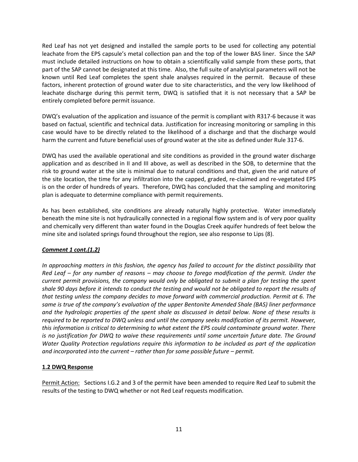Red Leaf has not yet designed and installed the sample ports to be used for collecting any potential leachate from the EPS capsule's metal collection pan and the top of the lower BAS liner. Since the SAP must include detailed instructions on how to obtain a scientifically valid sample from these ports, that part of the SAP cannot be designated at this time. Also, the full suite of analytical parameters will not be known until Red Leaf completes the spent shale analyses required in the permit. Because of these factors, inherent protection of ground water due to site characteristics, and the very low likelihood of leachate discharge during this permit term, DWQ is satisfied that it is not necessary that a SAP be entirely completed before permit issuance.

DWQ's evaluation of the application and issuance of the permit is compliant with R317-6 because it was based on factual, scientific and technical data. Justification for increasing monitoring or sampling in this case would have to be directly related to the likelihood of a discharge and that the discharge would harm the current and future beneficial uses of ground water at the site as defined under Rule 317-6.

DWQ has used the available operational and site conditions as provided in the ground water discharge application and as described in II and III above, as well as described in the SOB, to determine that the risk to ground water at the site is minimal due to natural conditions and that, given the arid nature of the site location, the time for any infiltration into the capped, graded, re-claimed and re-vegetated EPS is on the order of hundreds of years. Therefore, DWQ has concluded that the sampling and monitoring plan is adequate to determine compliance with permit requirements.

As has been established, site conditions are already naturally highly protective. Water immediately beneath the mine site is not hydraulically connected in a regional flow system and is of very poor quality and chemically very different than water found in the Douglas Creek aquifer hundreds of feet below the mine site and isolated springs found throughout the region, see also response to Lips (8).

## *Comment 1 cont.(1.2)*

*In approaching matters in this fashion, the agency has failed to account for the distinct possibility that Red Leaf – for any number of reasons – may choose to forego modification of the permit. Under the current permit provisions, the company would only be obligated to submit a plan for testing the spent shale 90 days before it intends to conduct the testing and would not be obligated to report the results of that testing unless the company decides to move forward with commercial production. Permit at 6. The same is true of the company's evaluation of the upper Bentonite Amended Shale (BAS) liner performance and the hydrologic properties of the spent shale as discussed in detail below. None of these results is required to be reported to DWQ unless and until the company seeks modification of its permit. However, this information is critical to determining to what extent the EPS could contaminate ground water. There is no justification for DWQ to waive these requirements until some uncertain future date. The Ground Water Quality Protection regulations require this information to be included as part of the application and incorporated into the current – rather than for some possible future – permit.* 

## **1.2 DWQ Response**

Permit Action: Sections I.G.2 and 3 of the permit have been amended to require Red Leaf to submit the results of the testing to DWQ whether or not Red Leaf requests modification.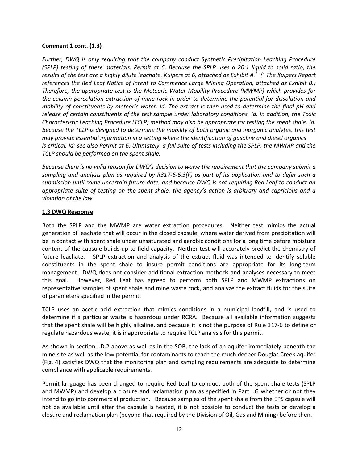#### **Comment 1 cont. (1.3)**

*Further, DWQ is only requiring that the company conduct Synthetic Precipitation Leaching Procedure (SPLP) testing of these materials. Permit at 6. Because the SPLP uses a 20:1 liquid to solid ratio, the results of the test are a highly dilute leachate. Kuipers at 6, attached as Exhibit A.<sup>1</sup> ( 1 The Kuipers Report references the Red Leaf Notice of Intent to Commence Large Mining Operation, attached as Exhibit B.) Therefore, the appropriate test is the Meteoric Water Mobility Procedure (MWMP) which provides for the column percolation extraction of mine rock in order to determine the potential for dissolution and mobility of constituents by meteoric water. Id. The extract is then used to determine the final pH and release of certain constituents of the test sample under laboratory conditions. Id. In addition, the Toxic Characteristic Leaching Procedure (TCLP) method may also be appropriate for testing the spent shale. Id. Because the TCLP is designed to determine the mobility of both organic and inorganic analytes, this test may provide essential information in a setting where the identification of gasoline and diesel organics is critical. Id; see also Permit at 6. Ultimately, a full suite of tests including the SPLP, the MWMP and the TCLP should be performed on the spent shale.* 

*Because there is no valid reason for DWQ's decision to waive the requirement that the company submit a sampling and analysis plan as required by R317-6-6.3(F) as part of its application and to defer such a submission until some uncertain future date, and because DWQ is not requiring Red Leaf to conduct an appropriate suite of testing on the spent shale, the agency's action is arbitrary and capricious and a violation of the law.* 

#### **1.3 DWQ Response**

Both the SPLP and the MWMP are water extraction procedures. Neither test mimics the actual generation of leachate that will occur in the closed capsule, where water derived from precipitation will be in contact with spent shale under unsaturated and aerobic conditions for a long time before moisture content of the capsule builds up to field capacity. Neither test will accurately predict the chemistry of future leachate. SPLP extraction and analysis of the extract fluid was intended to identify soluble constituents in the spent shale to insure permit conditions are appropriate for its long-term management. DWQ does not consider additional extraction methods and analyses necessary to meet this goal. However, Red Leaf has agreed to perform both SPLP and MWMP extractions on representative samples of spent shale and mine waste rock, and analyze the extract fluids for the suite of parameters specified in the permit.

TCLP uses an acetic acid extraction that mimics conditions in a municipal landfill, and is used to determine if a particular waste is hazardous under RCRA. Because all available information suggests that the spent shale will be highly alkaline, and because it is not the purpose of Rule 317-6 to define or regulate hazardous waste, it is inappropriate to require TCLP analysis for this permit.

As shown in section I.D.2 above as well as in the SOB, the lack of an aquifer immediately beneath the mine site as well as the low potential for contaminants to reach the much deeper Douglas Creek aquifer (Fig. 4) satisfies DWQ that the monitoring plan and sampling requirements are adequate to determine compliance with applicable requirements.

Permit language has been changed to require Red Leaf to conduct both of the spent shale tests (SPLP and MWMP) and develop a closure and reclamation plan as specified in Part I.G whether or not they intend to go into commercial production. Because samples of the spent shale from the EPS capsule will not be available until after the capsule is heated, it is not possible to conduct the tests or develop a closure and reclamation plan (beyond that required by the Division of Oil, Gas and Mining) before then.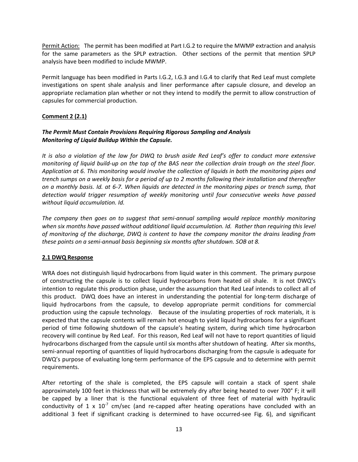Permit Action: The permit has been modified at Part I.G.2 to require the MWMP extraction and analysis for the same parameters as the SPLP extraction. Other sections of the permit that mention SPLP analysis have been modified to include MWMP.

Permit language has been modified in Parts I.G.2, I.G.3 and I.G.4 to clarify that Red Leaf must complete investigations on spent shale analysis and liner performance after capsule closure, and develop an appropriate reclamation plan whether or not they intend to modify the permit to allow construction of capsules for commercial production.

## **Comment 2 (2.1)**

## *The Permit Must Contain Provisions Requiring Rigorous Sampling and Analysis Monitoring of Liquid Buildup Within the Capsule.*

*It is also a violation of the law for DWQ to brush aside Red Leaf's offer to conduct more extensive monitoring of liquid build-up on the top of the BAS near the collection drain trough on the steel floor. Application at 6. This monitoring would involve the collection of liquids in both the monitoring pipes and trench sumps on a weekly basis for a period of up to 2 months following their installation and thereafter on a monthly basis. Id. at 6-7. When liquids are detected in the monitoring pipes or trench sump, that detection would trigger resumption of weekly monitoring until four consecutive weeks have passed without liquid accumulation. Id.* 

*The company then goes on to suggest that semi-annual sampling would replace monthly monitoring when six months have passed without additional liquid accumulation. Id. Rather than requiring this level of monitoring of the discharge, DWQ is content to have the company monitor the drains leading from these points on a semi-annual basis beginning six months after shutdown. SOB at 8.* 

#### **2.1 DWQ Response**

WRA does not distinguish liquid hydrocarbons from liquid water in this comment. The primary purpose of constructing the capsule is to collect liquid hydrocarbons from heated oil shale. It is not DWQ's intention to regulate this production phase, under the assumption that Red Leaf intends to collect all of this product. DWQ does have an interest in understanding the potential for long-term discharge of liquid hydrocarbons from the capsule, to develop appropriate permit conditions for commercial production using the capsule technology. Because of the insulating properties of rock materials, it is expected that the capsule contents will remain hot enough to yield liquid hydrocarbons for a significant period of time following shutdown of the capsule's heating system, during which time hydrocarbon recovery will continue by Red Leaf. For this reason, Red Leaf will not have to report quantities of liquid hydrocarbons discharged from the capsule until six months after shutdown of heating. After six months, semi-annual reporting of quantities of liquid hydrocarbons discharging from the capsule is adequate for DWQ's purpose of evaluating long-term performance of the EPS capsule and to determine with permit requirements.

After retorting of the shale is completed, the EPS capsule will contain a stack of spent shale approximately 100 feet in thickness that will be extremely dry after being heated to over 700° F; it will be capped by a liner that is the functional equivalent of three feet of material with hydraulic conductivity of 1 x  $10^{-7}$  cm/sec (and re-capped after heating operations have concluded with an additional 3 feet if significant cracking is determined to have occurred-see Fig. 6), and significant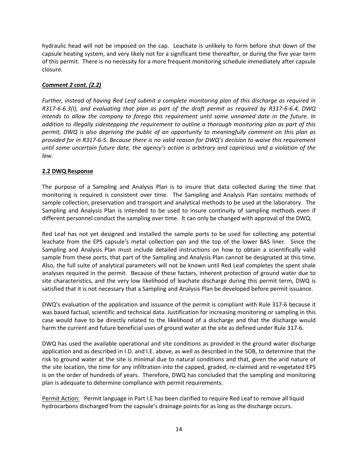hydraulic head will not be imposed on the cap. Leachate is unlikely to form before shut down of the capsule heating system, and very likely not for a significant time thereafter, or during the five year term of this permit. There is no necessity for a more frequent monitoring schedule immediately after capsule closure.

## *Comment 2 cont. (2.2)*

*Further, instead of having Red Leaf submit a complete monitoring plan of this discharge as required in R317-6-6.3(I), and evaluating that plan as part of the draft permit as required by R317-6-6.4, DWQ intends to allow the company to forego this requirement until some unnamed date in the future. In addition to illegally sidestepping the requirement to outline a thorough monitoring plan as part of this permit, DWQ is also depriving the public of an opportunity to meaningfully comment on this plan as provided for in R317-6-5. Because there is no valid reason for DWQ's decision to waive this requirement until some uncertain future date, the agency's action is arbitrary and capricious and a violation of the law*.

## **2.2 DWQ Response**

The purpose of a Sampling and Analysis Plan is to insure that data collected during the time that monitoring is required is consistent over time. The Sampling and Analysis Plan contains methods of sample collection, preservation and transport and analytical methods to be used at the laboratory. The Sampling and Analysis Plan is intended to be used to insure continuity of sampling methods even if different personnel conduct the sampling over time. It can only be changed with approval of the DWQ.

Red Leaf has not yet designed and installed the sample ports to be used for collecting any potential leachate from the EPS capsule's metal collection pan and the top of the lower BAS liner. Since the Sampling and Analysis Plan must include detailed instructions on how to obtain a scientifically valid sample from these ports, that part of the Sampling and Analysis Plan cannot be designated at this time. Also, the full suite of analytical parameters will not be known until Red Leaf completes the spent shale analyses required in the permit. Because of these factors, inherent protection of ground water due to site characteristics, and the very low likelihood of leachate discharge during this permit term, DWQ is satisfied that it is not necessary that a Sampling and Analysis Plan be developed before permit issuance.

DWQ's evaluation of the application and issuance of the permit is compliant with Rule 317-6 because it was based factual, scientific and technical data. Justification for increasing monitoring or sampling in this case would have to be directly related to the likelihood of a discharge and that the discharge would harm the current and future beneficial uses of ground water at the site as defined under Rule 317-6.

DWQ has used the available operational and site conditions as provided in the ground water discharge application and as described in I.D. and I.E. above, as well as described in the SOB, to determine that the risk to ground water at the site is minimal due to natural conditions and that, given the arid nature of the site location, the time for any infiltration into the capped, graded, re-claimed and re-vegetated EPS is on the order of hundreds of years. Therefore, DWQ has concluded that the sampling and monitoring plan is adequate to determine compliance with permit requirements.

Permit Action: Permit language in Part I.E has been clarified to require Red Leaf to remove all liquid hydrocarbons discharged from the capsule's drainage points for as long as the discharge occurs.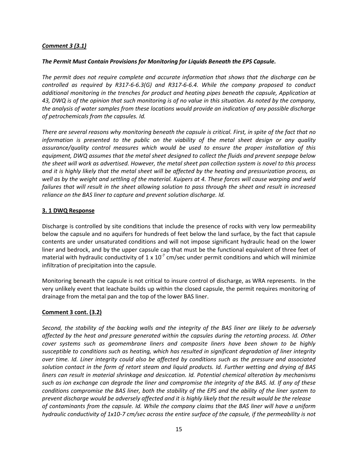## *Comment 3 (3.1)*

#### *The Permit Must Contain Provisions for Monitoring for Liquids Beneath the EPS Capsule.*

*The permit does not require complete and accurate information that shows that the discharge can be controlled as required by R317-6-6.3(G) and R317-6-6.4. While the company proposed to conduct additional monitoring in the trenches for product and heating pipes beneath the capsule, Application at 43, DWQ is of the opinion that such monitoring is of no value in this situation. As noted by the company, the analysis of water samples from these locations would provide an indication of any possible discharge of petrochemicals from the capsules. Id.*

*There are several reasons why monitoring beneath the capsule is critical. First, in spite of the fact that no information is presented to the public on the viability of the metal sheet design or any quality assurance/quality control measures which would be used to ensure the proper installation of this equipment, DWQ assumes that the metal sheet designed to collect the fluids and prevent seepage below the sheet will work as advertised. However, the metal sheet pan collection system is novel to this process and it is highly likely that the metal sheet will be affected by the heating and pressurization process, as well as by the weight and settling of the material. Kuipers at 4. These forces will cause warping and weld failures that will result in the sheet allowing solution to pass through the sheet and result in increased reliance on the BAS liner to capture and prevent solution discharge. Id.*

#### **3. 1 DWQ Response**

Discharge is controlled by site conditions that include the presence of rocks with very low permeability below the capsule and no aquifers for hundreds of feet below the land surface, by the fact that capsule contents are under unsaturated conditions and will not impose significant hydraulic head on the lower liner and bedrock, and by the upper capsule cap that must be the functional equivalent of three feet of material with hydraulic conductivity of 1 x 10<sup>-7</sup> cm/sec under permit conditions and which will minimize infiltration of precipitation into the capsule.

Monitoring beneath the capsule is not critical to insure control of discharge, as WRA represents. In the very unlikely event that leachate builds up within the closed capsule, the permit requires monitoring of drainage from the metal pan and the top of the lower BAS liner.

#### **Comment 3 cont. (3.2)**

*Second, the stability of the backing walls and the integrity of the BAS liner are likely to be adversely affected by the heat and pressure generated within the capsules during the retorting process. Id. Other cover systems such as geomembrane liners and composite liners have been shown to be highly susceptible to conditions such as heating, which has resulted in significant degradation of liner integrity over time. Id. Liner integrity could also be affected by conditions such as the pressure and associated solution contact in the form of retort steam and liquid products. Id. Further wetting and drying of BAS liners can result in material shrinkage and desiccation. Id. Potential chemical alteration by mechanisms such as ion exchange can degrade the liner and compromise the integrity of the BAS. Id. If any of these conditions compromise the BAS liner, both the stability of the EPS and the ability of the liner system to prevent discharge would be adversely affected and it is highly likely that the result would be the release of contaminants from the capsule. Id. While the company claims that the BAS liner will have a uniform hydraulic conductivity of 1x10-7 cm/sec across the entire surface of the capsule, if the permeability is not*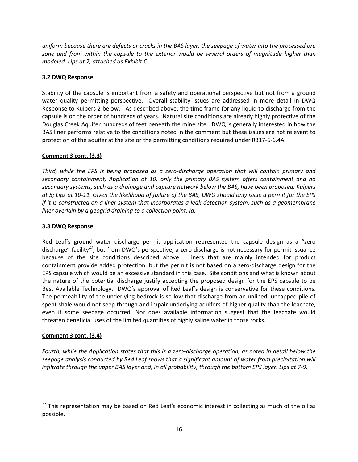*uniform because there are defects or cracks in the BAS layer, the seepage of water into the processed ore zone and from within the capsule to the exterior would be several orders of magnitude higher than modeled. Lips at 7, attached as Exhibit C.*

## **3.2 DWQ Response**

Stability of the capsule is important from a safety and operational perspective but not from a ground water quality permitting perspective. Overall stability issues are addressed in more detail in DWQ Response to Kuipers 2 below. As described above, the time frame for any liquid to discharge from the capsule is on the order of hundreds of years. Natural site conditions are already highly protective of the Douglas Creek Aquifer hundreds of feet beneath the mine site. DWQ is generally interested in how the BAS liner performs relative to the conditions noted in the comment but these issues are not relevant to protection of the aquifer at the site or the permitting conditions required under R317-6-6.4A.

## **Comment 3 cont. (3.3)**

*Third, while the EPS is being proposed as a zero-discharge operation that will contain primary and secondary containment, Application at 10, only the primary BAS system offers containment and no secondary systems, such as a drainage and capture network below the BAS, have been proposed. Kuipers at 5; Lips at 10-11. Given the likelihood of failure of the BAS, DWQ should only issue a permit for the EPS if it is constructed on a liner system that incorporates a leak detection system, such as a geomembrane liner overlain by a geogrid draining to a collection point. Id.*

## **3.3 DWQ Response**

Red Leaf's ground water discharge permit application represented the capsule design as a "zero discharge" facility<sup>27</sup>, but from DWQ's perspective, a zero discharge is not necessary for permit issuance because of the site conditions described above. Liners that are mainly intended for product containment provide added protection, but the permit is not based on a zero-discharge design for the EPS capsule which would be an excessive standard in this case. Site conditions and what is known about the nature of the potential discharge justify accepting the proposed design for the EPS capsule to be Best Available Technology. DWQ's approval of Red Leaf's design is conservative for these conditions. The permeability of the underlying bedrock is so low that discharge from an unlined, uncapped pile of spent shale would not seep through and impair underlying aquifers of higher quality than the leachate, even if some seepage occurred. Nor does available information suggest that the leachate would threaten beneficial uses of the limited quantities of highly saline water in those rocks.

#### **Comment 3 cont. (3.4)**

*Fourth, while the Application states that this is a zero-discharge operation, as noted in detail below the seepage analysis conducted by Red Leaf shows that a significant amount of water from precipitation will infiltrate through the upper BAS layer and, in all probability, through the bottom EPS layer. Lips at 7-9.*

<sup>&</sup>lt;sup>27</sup> This representation may be based on Red Leaf's economic interest in collecting as much of the oil as possible.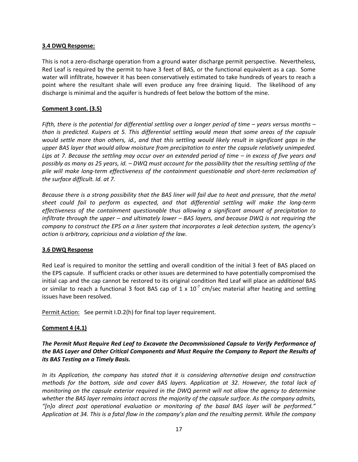#### **3.4 DWQ Response:**

This is not a zero-discharge operation from a ground water discharge permit perspective. Nevertheless, Red Leaf is required by the permit to have 3 feet of BAS, or the functional equivalent as a cap. Some water will infiltrate, however it has been conservatively estimated to take hundreds of years to reach a point where the resultant shale will even produce any free draining liquid. The likelihood of any discharge is minimal and the aquifer is hundreds of feet below the bottom of the mine.

#### **Comment 3 cont. (3.5)**

*Fifth, there is the potential for differential settling over a longer period of time – years versus months – than is predicted. Kuipers at 5. This differential settling would mean that some areas of the capsule would settle more than others, id., and that this settling would likely result in significant gaps in the upper BAS layer that would allow moisture from precipitation to enter the capsule relatively unimpeded. Lips at 7. Because the settling may occur over an extended period of time – in excess of five years and possibly as many as 25 years, id. – DWQ must account for the possibility that the resulting settling of the pile will make long-term effectiveness of the containment questionable and short-term reclamation of the surface difficult. Id. at 7.*

*Because there is a strong possibility that the BAS liner will fail due to heat and pressure, that the metal sheet could fail to perform as expected, and that differential settling will make the long-term effectiveness of the containment questionable thus allowing a significant amount of precipitation to infiltrate through the upper – and ultimately lower – BAS layers, and because DWQ is not requiring the company to construct the EPS on a liner system that incorporates a leak detection system, the agency's action is arbitrary, capricious and a violation of the law.*

#### **3.6 DWQ Response**

Red Leaf is required to monitor the settling and overall condition of the initial 3 feet of BAS placed on the EPS capsule. If sufficient cracks or other issues are determined to have potentially compromised the initial cap and the cap cannot be restored to its original condition Red Leaf will place an *additional* BAS or similar to reach a functional 3 foot BAS cap of 1 x  $10^{-7}$  cm/sec material after heating and settling issues have been resolved.

Permit Action: See permit I.D.2(h) for final top layer requirement.

#### **Comment 4 (4.1)**

*The Permit Must Require Red Leaf to Excavate the Decommissioned Capsule to Verify Performance of the BAS Layer and Other Critical Components and Must Require the Company to Report the Results of its BAS Testing on a Timely Basis.*

*In its Application, the company has stated that it is considering alternative design and construction methods for the bottom, side and cover BAS layers. Application at 32. However, the total lack of monitoring on the capsule exterior required in the DWQ permit will not allow the agency to determine whether the BAS layer remains intact across the majority of the capsule surface. As the company admits, "[n]o direct post operational evaluation or monitoring of the basal BAS layer will be performed." Application at 34. This is a fatal flaw in the company's plan and the resulting permit. While the company*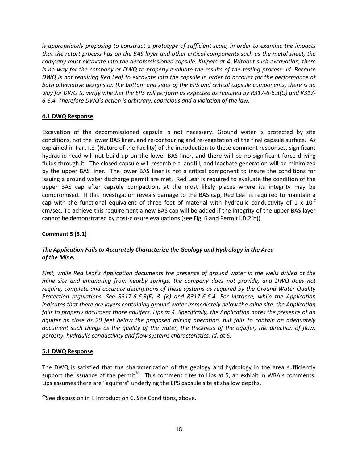*is appropriately proposing to construct a prototype of sufficient scale, in order to examine the impacts that the retort process has on the BAS layer and other critical components such as the metal sheet, the company must excavate into the decommissioned capsule. Kuipers at 4. Without such excavation, there is no way for the company or DWQ to properly evaluate the results of the testing process. Id. Because DWQ is not requiring Red Leaf to excavate into the capsule in order to account for the performance of both alternative designs on the bottom and sides of the EPS and critical capsule components, there is no way for DWQ to verify whether the EPS will perform as expected as required by R317-6-6.3(G) and R317- 6-6.4. Therefore DWQ's action is arbitrary, capricious and a violation of the law.*

## **4.1 DWQ Response**

Excavation of the decommissioned capsule is not necessary. Ground water is protected by site conditions, not the lower BAS liner, and re-contouring and re-vegetation of the final capsule surface. As explained in Part I.E. (Nature of the Facility) of the introduction to these comment responses, significant hydraulic head will not build up on the lower BAS liner, and there will be no significant force driving fluids through it. The closed capsule will resemble a landfill, and leachate generation will be minimized by the upper BAS liner. The lower BAS liner is not a critical component to insure the conditions for issuing a ground water discharge permit are met. Red Leaf is required to evaluate the condition of the upper BAS cap after capsule compaction, at the most likely places where its integrity may be compromised. If this investigation reveals damage to the BAS cap, Red Leaf is required to maintain a cap with the functional equivalent of three feet of material with hydraulic conductivity of 1 x  $10^{-7}$ cm/sec. To achieve this requirement a new BAS cap will be added if the integrity of the upper BAS layer cannot be demonstrated by post-closure evaluations (see Fig. 6 and Permit I.D.2(h)).

## **Comment 5 (5.1)**

## *The Application Fails to Accurately Characterize the Geology and Hydrology in the Area of the Mine.*

*First, while Red Leaf's Application documents the presence of ground water in the wells drilled at the mine site and emanating from nearby springs, the company does not provide, and DWQ does not require, complete and accurate descriptions of these systems as required by the Ground Water Quality Protection regulations. See R317-6-6.3(E) & (K) and R317-6-6.4. For instance, while the Application indicates that there are layers containing ground water immediately below the mine site, the Application fails to properly document those aquifers. Lips at 4. Specifically, the Application notes the presence of an aquifer as close as 20 feet below the proposed mining operation, but fails to contain an adequately document such things as the quality of the water, the thickness of the aquifer, the direction of flow, porosity, hydraulic conductivity and flow systems characteristics. Id. at 5.*

#### **5.1 DWQ Response**

The DWQ is satisfied that the characterization of the geology and hydrology in the area sufficiently support the issuance of the permit<sup>28</sup>. This comment cites to Lips at 5, an exhibit in WRA's comments. Lips assumes there are "aquifers" underlying the EPS capsule site at shallow depths.

<sup>28</sup>See discussion in I. Introduction C. Site Conditions, above.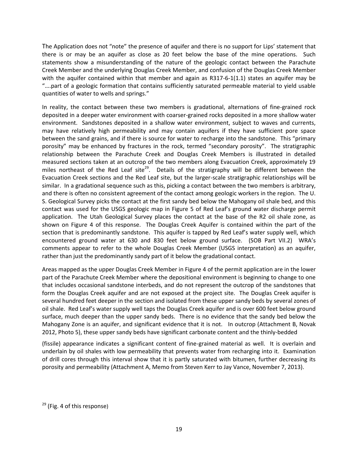The Application does not "note" the presence of aquifer and there is no support for Lips' statement that there is or may be an aquifer as close as 20 feet below the base of the mine operations. Such statements show a misunderstanding of the nature of the geologic contact between the Parachute Creek Member and the underlying Douglas Creek Member, and confusion of the Douglas Creek Member with the aquifer contained within that member and again as R317-6-1(1.1) states an aquifer may be "….part of a geologic formation that contains sufficiently saturated permeable material to yield usable quantities of water to wells and springs."

In reality, the contact between these two members is gradational, alternations of fine-grained rock deposited in a deeper water environment with coarser-grained rocks deposited in a more shallow water environment. Sandstones deposited in a shallow water environment, subject to waves and currents, may have relatively high permeability and may contain aquifers if they have sufficient pore space between the sand grains, and if there is source for water to recharge into the sandstone. This "primary porosity" may be enhanced by fractures in the rock, termed "secondary porosity". The stratigraphic relationship between the Parachute Creek and Douglas Creek Members is illustrated in detailed measured sections taken at an outcrop of the two members along Evacuation Creek, approximately 19 miles northeast of the Red Leaf site<sup>29</sup>. Details of the stratigraphy will be different between the Evacuation Creek sections and the Red Leaf site, but the larger-scale stratigraphic relationships will be similar. In a gradational sequence such as this, picking a contact between the two members is arbitrary, and there is often no consistent agreement of the contact among geologic workers in the region. The U. S. Geological Survey picks the contact at the first sandy bed below the Mahogany oil shale bed, and this contact was used for the USGS geologic map in Figure 5 of Red Leaf's ground water discharge permit application. The Utah Geological Survey places the contact at the base of the R2 oil shale zone, as shown on Figure 4 of this response. The Douglas Creek Aquifer is contained within the part of the section that is predominantly sandstone. This aquifer is tapped by Red Leaf's water supply well, which encountered ground water at 630 and 830 feet below ground surface. (SOB Part VII.2) WRA's comments appear to refer to the whole Douglas Creek Member (USGS interpretation) as an aquifer, rather than just the predominantly sandy part of it below the gradational contact.

Areas mapped as the upper Douglas Creek Member in Figure 4 of the permit application are in the lower part of the Parachute Creek Member where the depositional environment is beginning to change to one that includes occasional sandstone interbeds, and do not represent the outcrop of the sandstones that form the Douglas Creek aquifer and are not exposed at the project site. The Douglas Creek aquifer is several hundred feet deeper in the section and isolated from these upper sandy beds by several zones of oil shale. Red Leaf's water supply well taps the Douglas Creek aquifer and is over 600 feet below ground surface, much deeper than the upper sandy beds. There is no evidence that the sandy bed below the Mahogany Zone is an aquifer, and significant evidence that it is not. In outcrop (Attachment B, Novak 2012, Photo 5), these upper sandy beds have significant carbonate content and the thinly-bedded

(fissile) appearance indicates a significant content of fine-grained material as well. It is overlain and underlain by oil shales with low permeability that prevents water from recharging into it. Examination of drill cores through this interval show that it is partly saturated with bitumen, further decreasing its porosity and permeability (Attachment A, Memo from Steven Kerr to Jay Vance, November 7, 2013).

<sup>&</sup>lt;sup>29</sup> (Fig. 4 of this response)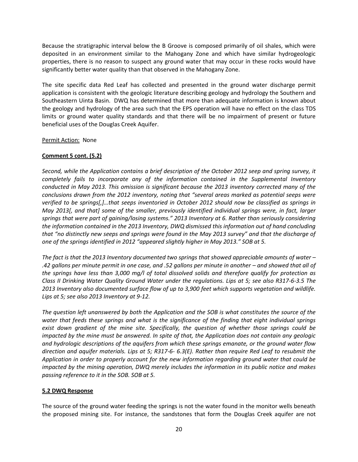Because the stratigraphic interval below the B Groove is composed primarily of oil shales, which were deposited in an environment similar to the Mahogany Zone and which have similar hydrogeologic properties, there is no reason to suspect any ground water that may occur in these rocks would have significantly better water quality than that observed in the Mahogany Zone.

The site specific data Red Leaf has collected and presented in the ground water discharge permit application is consistent with the geologic literature describing geology and hydrology the Southern and Southeastern Uinta Basin. DWQ has determined that more than adequate information is known about the geology and hydrology of the area such that the EPS operation will have no effect on the class TDS limits or ground water quality standards and that there will be no impairment of present or future beneficial uses of the Douglas Creek Aquifer.

#### Permit Action: None

## **Comment 5 cont. (5.2)**

*Second, while the Application contains a brief description of the October 2012 seep and spring survey, it completely fails to incorporate any of the information contained in the Supplemental Inventory conducted in May 2013. This omission is significant because the 2013 inventory corrected many of the conclusions drawn from the 2012 inventory, noting that "several areas marked as potential seeps were verified to be springs[,]…that seeps inventoried in October 2012 should now be classified as springs in May 2013[, and that] some of the smaller, previously identified individual springs were, in fact, larger springs that were part of gaining/losing systems." 2013 Inventory at 6. Rather than seriously considering the information contained in the 2013 Inventory, DWQ dismissed this information out of hand concluding that "no distinctly new seeps and springs were found in the May 2013 survey" and that the discharge of one of the springs identified in 2012 "appeared slightly higher in May 2013." SOB at 5.* 

*The fact is that the 2013 Inventory documented two springs that showed appreciable amounts of water – .42 gallons per minute permit in one case, and .52 gallons per minute in another – and showed that all of the springs have less than 3,000 mg/l of total dissolved solids and therefore qualify for protection as Class II Drinking Water Quality Ground Water under the regulations. Lips at 5; see also R317-6-3.5 The 2013 Inventory also documented surface flow of up to 3,900 feet which supports vegetation and wildlife. Lips at 5; see also 2013 Inventory at 9-12.*

*The question left unanswered by both the Application and the SOB is what constitutes the source of the water that feeds these springs and what is the significance of the finding that eight individual springs exist down gradient of the mine site. Specifically, the question of whether those springs could be impacted by the mine must be answered. In spite of that, the Application does not contain any geologic and hydrologic descriptions of the aquifers from which these springs emanate, or the ground water flow direction and aquifer materials. Lips at 5; R317-6- 6.3(E). Rather than require Red Leaf to resubmit the Application in order to properly account for the new information regarding ground water that could be impacted by the mining operation, DWQ merely includes the information in its public notice and makes passing reference to it in the SOB. SOB at 5.*

#### **5.2 DWQ Response**

The source of the ground water feeding the springs is not the water found in the monitor wells beneath the proposed mining site. For instance, the sandstones that form the Douglas Creek aquifer are not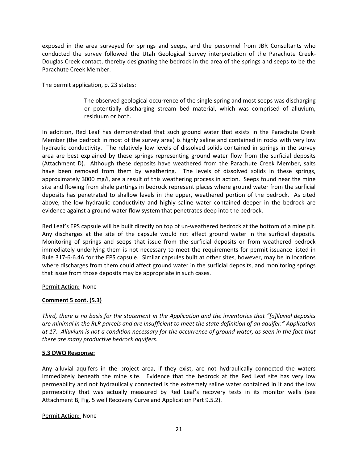exposed in the area surveyed for springs and seeps, and the personnel from JBR Consultants who conducted the survey followed the Utah Geological Survey interpretation of the Parachute Creek-Douglas Creek contact, thereby designating the bedrock in the area of the springs and seeps to be the Parachute Creek Member.

The permit application, p. 23 states:

The observed geological occurrence of the single spring and most seeps was discharging or potentially discharging stream bed material, which was comprised of alluvium, residuum or both.

In addition, Red Leaf has demonstrated that such ground water that exists in the Parachute Creek Member (the bedrock in most of the survey area) is highly saline and contained in rocks with very low hydraulic conductivity. The relatively low levels of dissolved solids contained in springs in the survey area are best explained by these springs representing ground water flow from the surficial deposits (Attachment D). Although these deposits have weathered from the Parachute Creek Member, salts have been removed from them by weathering. The levels of dissolved solids in these springs, approximately 3000 mg/l, are a result of this weathering process in action. Seeps found near the mine site and flowing from shale partings in bedrock represent places where ground water from the surficial deposits has penetrated to shallow levels in the upper, weathered portion of the bedrock. As cited above, the low hydraulic conductivity and highly saline water contained deeper in the bedrock are evidence against a ground water flow system that penetrates deep into the bedrock.

Red Leaf's EPS capsule will be built directly on top of un-weathered bedrock at the bottom of a mine pit. Any discharges at the site of the capsule would not affect ground water in the surficial deposits. Monitoring of springs and seeps that issue from the surficial deposits or from weathered bedrock immediately underlying them is not necessary to meet the requirements for permit issuance listed in Rule 317-6-6.4A for the EPS capsule. Similar capsules built at other sites, however, may be in locations where discharges from them could affect ground water in the surficial deposits, and monitoring springs that issue from those deposits may be appropriate in such cases.

#### Permit Action: None

#### **Comment 5 cont. (5.3)**

*Third, there is no basis for the statement in the Application and the inventories that "[a]lluvial deposits are minimal in the RLR parcels and are insufficient to meet the state definition of an aquifer." Application at 17. Alluvium is not a condition necessary for the occurrence of ground water, as seen in the fact that there are many productive bedrock aquifers.*

#### **5.3 DWQ Response:**

Any alluvial aquifers in the project area, if they exist, are not hydraulically connected the waters immediately beneath the mine site. Evidence that the bedrock at the Red Leaf site has very low permeability and not hydraulically connected is the extremely saline water contained in it and the low permeability that was actually measured by Red Leaf's recovery tests in its monitor wells (see Attachment B, Fig. 5 well Recovery Curve and Application Part 9.5.2).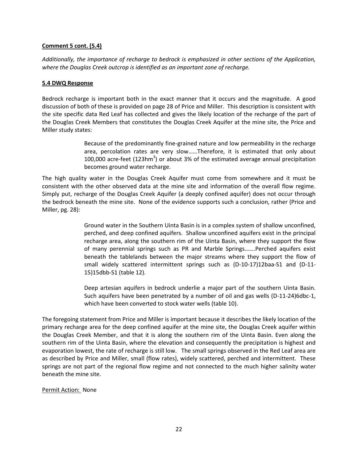#### **Comment 5 cont. (5.4)**

*Additionally, the importance of recharge to bedrock is emphasized in other sections of the Application, where the Douglas Creek outcrop is identified as an important zone of recharge.* 

#### **5.4 DWQ Response**

Bedrock recharge is important both in the exact manner that it occurs and the magnitude. A good discussion of both of these is provided on page 28 of Price and Miller. This description is consistent with the site specific data Red Leaf has collected and gives the likely location of the recharge of the part of the Douglas Creek Members that constitutes the Douglas Creek Aquifer at the mine site, the Price and Miller study states:

> Because of the predominantly fine-grained nature and low permeability in the recharge area, percolation rates are very slow……Therefore, it is estimated that only about 100,000 acre-feet (123hm<sup>3</sup>) or about 3% of the estimated average annual precipitation becomes ground water recharge.

The high quality water in the Douglas Creek Aquifer must come from somewhere and it must be consistent with the other observed data at the mine site and information of the overall flow regime. Simply put, recharge of the Douglas Creek Aquifer (a deeply confined aquifer) does not occur through the bedrock beneath the mine site. None of the evidence supports such a conclusion, rather (Price and Miller, pg. 28):

> Ground water in the Southern Uinta Basin is in a complex system of shallow unconfined, perched, and deep confined aquifers. Shallow unconfined aquifers exist in the principal recharge area, along the southern rim of the Uinta Basin, where they support the flow of many perennial springs such as PR and Marble Springs…….Perched aquifers exist beneath the tablelands between the major streams where they support the flow of small widely scattered intermittent springs such as (D-10-17)12baa-S1 and (D-11- 15)15dbb-S1 (table 12).

> Deep artesian aquifers in bedrock underlie a major part of the southern Uinta Basin. Such aquifers have been penetrated by a number of oil and gas wells (D-11-24)6dbc-1, which have been converted to stock water wells (table 10).

The foregoing statement from Price and Miller is important because it describes the likely location of the primary recharge area for the deep confined aquifer at the mine site, the Douglas Creek aquifer within the Douglas Creek Member, and that it is along the southern rim of the Uinta Basin. Even along the southern rim of the Uinta Basin, where the elevation and consequently the precipitation is highest and evaporation lowest, the rate of recharge is still low. The small springs observed in the Red Leaf area are as described by Price and Miller, small (flow rates), widely scattered, perched and intermittent. These springs are not part of the regional flow regime and not connected to the much higher salinity water beneath the mine site.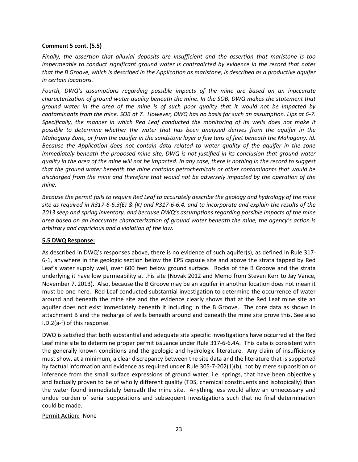#### **Comment 5 cont. (5.5)**

*Finally, the assertion that alluvial deposits are insufficient and the assertion that marlstone is too impermeable to conduct significant ground water is contradicted by evidence in the record that notes that the B Groove, which is described in the Application as marlstone, is described as a productive aquifer in certain locations.*

*Fourth, DWQ's assumptions regarding possible impacts of the mine are based on an inaccurate characterization of ground water quality beneath the mine. In the SOB, DWQ makes the statement that ground water in the area of the mine is of such poor quality that it would not be impacted by contaminants from the mine. SOB at 7. However, DWQ has no basis for such an assumption. Lips at 6-7. Specifically, the manner in which Red Leaf conducted the monitoring of its wells does not make it possible to determine whether the water that has been analyzed derives from the aquifer in the Mahogany Zone, or from the aquifer in the sandstone layer a few tens of feet beneath the Mahogany. Id. Because the Application does not contain data related to water quality of the aquifer in the zone immediately beneath the proposed mine site, DWQ is not justified in its conclusion that ground water quality in the area of the mine will not be impacted. In any case, there is nothing in the record to suggest that the ground water beneath the mine contains petrochemicals or other contaminants that would be discharged from the mine and therefore that would not be adversely impacted by the operation of the mine.*

*Because the permit fails to require Red Leaf to accurately describe the geology and hydrology of the mine site as required in R317-6-6.3(E) & (K) and R317-6-6.4, and to incorporate and explain the results of the 2013 seep and spring inventory, and because DWQ's assumptions regarding possible impacts of the mine area based on an inaccurate characterization of ground water beneath the mine, the agency's action is arbitrary and capricious and a violation of the law.*

## **5.5 DWQ Response:**

As described in DWQ's responses above, there is no evidence of such aquifer(s), as defined in Rule 317- 6-1, anywhere in the geologic section below the EPS capsule site and above the strata tapped by Red Leaf's water supply well, over 600 feet below ground surface. Rocks of the B Groove and the strata underlying it have low permeability at this site (Novak 2012 and Memo from Steven Kerr to Jay Vance, November 7, 2013). Also, because the B Groove may be an aquifer in another location does not mean it must be one here. Red Leaf conducted substantial investigation to determine the occurrence of water around and beneath the mine site and the evidence clearly shows that at the Red Leaf mine site an aquifer does not exist immediately beneath it including in the B Groove. The core data as shown in attachment B and the recharge of wells beneath around and beneath the mine site prove this. See also I.D.2(a-f) of this response.

DWQ is satisfied that both substantial and adequate site specific investigations have occurred at the Red Leaf mine site to determine proper permit issuance under Rule 317-6-6.4A. This data is consistent with the generally known conditions and the geologic and hydrologic literature. Any claim of insufficiency must show, at a minimum, a clear discrepancy between the site data and the literature that is supported by factual information and evidence as required under Rule 305-7-202(1)(b), not by mere supposition or inference from the small surface expressions of ground water, i.e. springs, that have been objectively and factually proven to be of wholly different quality (TDS, chemical constituents and isotopically) than the water found immediately beneath the mine site. Anything less would allow an unnecessary and undue burden of serial suppositions and subsequent investigations such that no final determination could be made.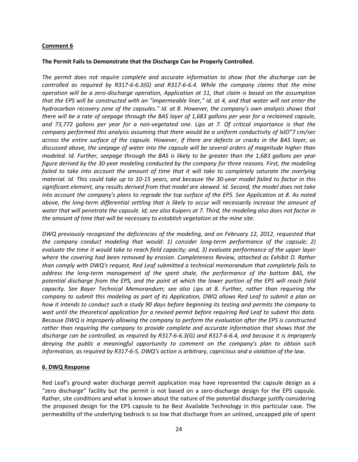#### **Comment 6**

#### **The Permit Fails to Demonstrate that the Discharge Can be Properly Controlled.**

*The permit does not require complete and accurate information to show that the discharge can be controlled as required by R317-6-6.3(G) and R317-6-6.4. While the company claims that the mine operation will be a zero-discharge operation, Application at 11, that claim is based on the assumption that the EPS will be constructed with an "impermeable liner," id. at 4, and that water will not enter the hydrocarbon recovery zone of the capsules." Id. at 8. However, the company's own analysis shows that there will be a rate of seepage through the BAS layer of 1,683 gallons per year for a reclaimed capsule, and 73,772 gallons per year for a non-vegetated one. Lips at 7. Of critical importance is that the company performed this analysis assuming that there would be a uniform conductivity of lxlO"7 cm/sec across the entire surface of the capsule. However, if there are defects or cracks in the BAS layer, as discussed above, the seepage of water into the capsule will be several orders of magnitude higher than modeled. Id. Further, seepage through the BAS is likely to be greater than the 1,683 gallons per year figure derived by the 30-year modeling conducted by the company for three reasons. First, the modeling*  failed to take into account the amount of time that it will take to completely saturate the overlying *material. Id. This could take up to 10-15 years, and because the 30-year model failed to factor in this significant element, any results derived from that model are skewed. Id. Second, the model does not take into account the company's plans to regrade the top surface of the EPS. See Application at 8. As noted above, the long-term differential settling that is likely to occur will necessarily increase the amount of water that will penetrate the capsule. Id; see also Kuipers at 7. Third, the modeling also does not factor in the amount of time that will be necessary to establish vegetation at the mine site.*

*DWQ previously recognized the deficiencies of the modeling, and on February 12, 2012, requested that the company conduct modeling that would: 1) consider long-term performance of the capsule; 2) evaluate the time it would take to reach field capacity; and, 3) evaluate performance of the upper layer where the covering had been removed by erosion. Completeness Review, attached as Exhibit D. Rather than comply with DWQ's request, Red Leaf submitted a technical memorandum that completely fails to address the long-term management of the spent shale, the performance of the bottom BAS, the potential discharge from the EPS, and the point at which the lower portion of the EPS will reach field capacity. See Bayer Technical Memorandum; see also Lips at 8. Further, rather than requiring the company to submit this modeling as part of its Application, DWQ allows Red Leaf to submit a plan on how it intends to conduct such a study 90 days before beginning its testing and permits the company to wait until the theoretical application for a revised permit before requiring Red Leaf to submit this data. Because DWQ is improperly allowing the company to perform the evaluation after the EPS is constructed rather than requiring the company to provide complete and accurate information that shows that the discharge can be controlled, as required by R317-6-6.3(G) and R317-6-6.4, and because it is improperly denying the public a meaningful opportunity to comment on the company's plan to obtain such information, as required by R317-6-5, DWQ's action is arbitrary, capricious and a violation of the law.* 

#### **6. DWQ Response**

Red Leaf's ground water discharge permit application may have represented the capsule design as a "zero discharge" facility but the permit is not based on a zero-discharge design for the EPS capsule. Rather, site conditions and what is known about the nature of the potential discharge justify considering the proposed design for the EPS capsule to be Best Available Technology in this particular case. The permeability of the underlying bedrock is so low that discharge from an unlined, uncapped pile of spent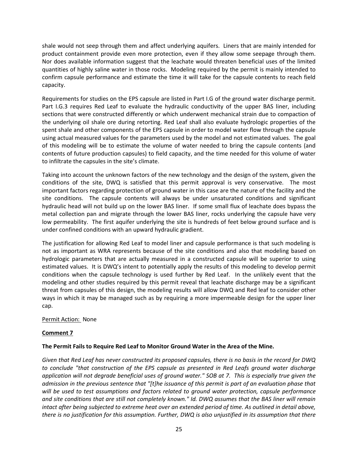shale would not seep through them and affect underlying aquifers. Liners that are mainly intended for product containment provide even more protection, even if they allow some seepage through them. Nor does available information suggest that the leachate would threaten beneficial uses of the limited quantities of highly saline water in those rocks. Modeling required by the permit is mainly intended to confirm capsule performance and estimate the time it will take for the capsule contents to reach field capacity.

Requirements for studies on the EPS capsule are listed in Part I.G of the ground water discharge permit. Part I.G.3 requires Red Leaf to evaluate the hydraulic conductivity of the upper BAS liner, including sections that were constructed differently or which underwent mechanical strain due to compaction of the underlying oil shale ore during retorting. Red Leaf shall also evaluate hydrologic properties of the spent shale and other components of the EPS capsule in order to model water flow through the capsule using actual measured values for the parameters used by the model and not estimated values. The goal of this modeling will be to estimate the volume of water needed to bring the capsule contents (and contents of future production capsules) to field capacity, and the time needed for this volume of water to infiltrate the capsules in the site's climate.

Taking into account the unknown factors of the new technology and the design of the system, given the conditions of the site, DWQ is satisfied that this permit approval is very conservative. The most important factors regarding protection of ground water in this case are the nature of the facility and the site conditions. The capsule contents will always be under unsaturated conditions and significant hydraulic head will not build up on the lower BAS liner. If some small flux of leachate does bypass the metal collection pan and migrate through the lower BAS liner, rocks underlying the capsule have very low permeability. The first aquifer underlying the site is hundreds of feet below ground surface and is under confined conditions with an upward hydraulic gradient.

The justification for allowing Red Leaf to model liner and capsule performance is that such modeling is not as important as WRA represents because of the site conditions and also that modeling based on hydrologic parameters that are actually measured in a constructed capsule will be superior to using estimated values. It is DWQ's intent to potentially apply the results of this modeling to develop permit conditions when the capsule technology is used further by Red Leaf. In the unlikely event that the modeling and other studies required by this permit reveal that leachate discharge may be a significant threat from capsules of this design, the modeling results will allow DWQ and Red leaf to consider other ways in which it may be managed such as by requiring a more impermeable design for the upper liner cap.

#### Permit Action: None

#### **Comment 7**

#### **The Permit Fails to Require Red Leaf to Monitor Ground Water in the Area of the Mine.**

*Given that Red Leaf has never constructed its proposed capsules, there is no basis in the record for DWQ to conclude "that construction of the EPS capsule as presented in Red Leafs ground water discharge application will not degrade beneficial uses of ground water." SOB at 7. This is especially true given the admission in the previous sentence that "[t]he issuance of this permit is part of an evaluation phase that will be used to test assumptions and factors related to ground water protection, capsule performance and site conditions that are still not completely known." Id. DWQ assumes that the BAS liner will remain intact after being subjected to extreme heat over an extended period of time. As outlined in detail above, there is no justification for this assumption. Further, DWQ is also unjustified in its assumption that there*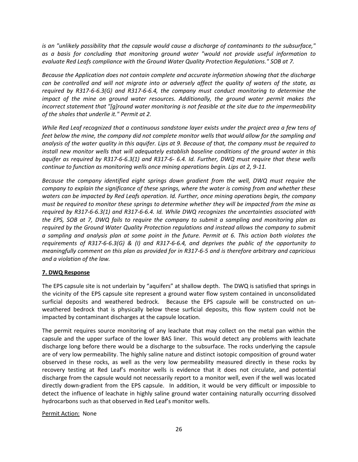*is an "unlikely possibility that the capsule would cause a discharge of contaminants to the subsurface," as a basis for concluding that monitoring ground water "would not provide useful information to evaluate Red Leafs compliance with the Ground Water Quality Protection Regulations." SOB at 7.* 

*Because the Application does not contain complete and accurate information showing that the discharge can be controlled and will not migrate into or adversely affect the quality of waters of the state, as required by R317-6-6.3(G) and R317-6-6.4, the company must conduct monitoring to determine the impact of the mine on ground water resources. Additionally, the ground water permit makes the incorrect statement that "[g]round water monitoring is not feasible at the site due to the impermeability of the shales that underlie it." Permit at 2.* 

*While Red Leaf recognized that a continuous sandstone layer exists under the project area a few tens of feet below the mine, the company did not complete monitor wells that would allow for the sampling and analysis of the water quality in this aquifer. Lips at 9. Because of that, the company must be required to install new monitor wells that will adequately establish baseline conditions of the ground water in this aquifer as required by R317-6-6.3(1) and R317-6- 6.4. Id. Further, DWQ must require that these wells continue to function as monitoring wells once mining operations begin. Lips at 2, 9-11.*

*Because the company identified eight springs down gradient from the well, DWQ must require the company to explain the significance of these springs, where the water is coming from and whether these waters can be impacted by Red Leafs operation. Id. Further, once mining operations begin, the company must be required to monitor these springs to determine whether they will be impacted from the mine as required by R317-6-6.3(1) and R317-6-6.4. Id. While DWQ recognizes the uncertainties associated with the EPS, SOB at 7, DWQ fails to require the company to submit a sampling and monitoring plan as required by the Ground Water Quality Protection regulations and instead allows the company to submit a sampling and analysis plan at some point in the future. Permit at 6. This action both violates the requirements of R317-6-6.3(G) & (I) and R317-6-6.4, and deprives the public of the opportunity to meaningfully comment on this plan as provided for in R317-6-5 and is therefore arbitrary and capricious and a violation of the law.*

## **7. DWQ Response**

The EPS capsule site is not underlain by "aquifers" at shallow depth. The DWQ is satisfied that springs in the vicinity of the EPS capsule site represent a ground water flow system contained in unconsolidated surficial deposits and weathered bedrock. Because the EPS capsule will be constructed on unweathered bedrock that is physically below these surficial deposits, this flow system could not be impacted by contaminant discharges at the capsule location.

The permit requires source monitoring of any leachate that may collect on the metal pan within the capsule and the upper surface of the lower BAS liner. This would detect any problems with leachate discharge long before there would be a discharge to the subsurface. The rocks underlying the capsule are of very low permeability. The highly saline nature and distinct isotopic composition of ground water observed in these rocks, as well as the very low permeability measured directly in these rocks by recovery testing at Red Leaf's monitor wells is evidence that it does not circulate, and potential discharge from the capsule would not necessarily report to a monitor well, even if the well was located directly down-gradient from the EPS capsule. In addition, it would be very difficult or impossible to detect the influence of leachate in highly saline ground water containing naturally occurring dissolved hydrocarbons such as that observed in Red Leaf's monitor wells.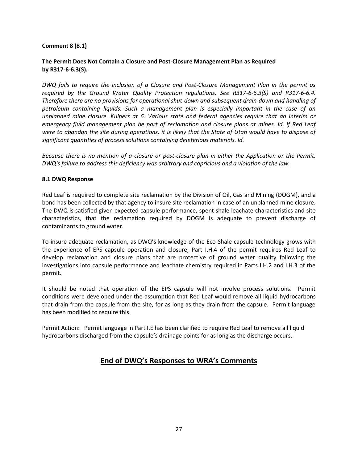## **Comment 8 (8.1)**

## **The Permit Does Not Contain a Closure and Post-Closure Management Plan as Required by R317-6-6.3(S).**

*DWQ fails to require the inclusion of a Closure and Post-Closure Management Plan in the permit as required by the Ground Water Quality Protection regulations. See R317-6-6.3(S) and R317-6-6.4. Therefore there are no provisions for operational shut-down and subsequent drain-down and handling of petroleum containing liquids. Such a management plan is especially important in the case of an unplanned mine closure. Kuipers at 6. Various state and federal agencies require that an interim or emergency fluid management plan be part of reclamation and closure plans at mines. Id. If Red Leaf were to abandon the site during operations, it is likely that the State of Utah would have to dispose of significant quantities of process solutions containing deleterious materials. Id.* 

*Because there is no mention of a closure or post-closure plan in either the Application or the Permit, DWQ's failure to address this deficiency was arbitrary and capricious and a violation of the law.*

#### **8.1 DWQ Response**

Red Leaf is required to complete site reclamation by the Division of Oil, Gas and Mining (DOGM), and a bond has been collected by that agency to insure site reclamation in case of an unplanned mine closure. The DWQ is satisfied given expected capsule performance, spent shale leachate characteristics and site characteristics, that the reclamation required by DOGM is adequate to prevent discharge of contaminants to ground water.

To insure adequate reclamation, as DWQ's knowledge of the Eco-Shale capsule technology grows with the experience of EPS capsule operation and closure, Part I.H.4 of the permit requires Red Leaf to develop reclamation and closure plans that are protective of ground water quality following the investigations into capsule performance and leachate chemistry required in Parts I.H.2 and I.H.3 of the permit.

It should be noted that operation of the EPS capsule will not involve process solutions. Permit conditions were developed under the assumption that Red Leaf would remove all liquid hydrocarbons that drain from the capsule from the site, for as long as they drain from the capsule. Permit language has been modified to require this.

Permit Action: Permit language in Part I.E has been clarified to require Red Leaf to remove all liquid hydrocarbons discharged from the capsule's drainage points for as long as the discharge occurs.

## **End of DWQ's Responses to WRA's Comments**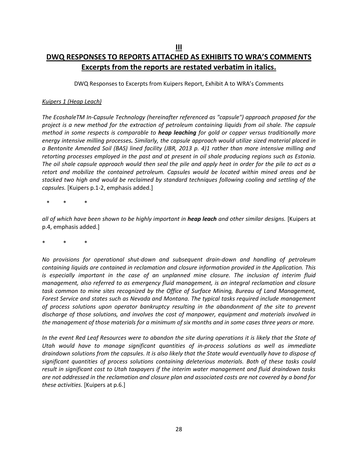## **DWQ RESPONSES TO REPORTS ATTACHED AS EXHIBITS TO WRA'S COMMENTS Excerpts from the reports are restated verbatim in italics.**

DWQ Responses to Excerpts from Kuipers Report, Exhibit A to WRA's Comments

#### *Kuipers 1 (Heap Leach)*

*The EcoshaleTM In-Capsule Technology (hereinafter referenced as "capsule") approach proposed for the project is a new method for the extraction of petroleum containing liquids from oil shale. The capsule method in some respects is comparable to heap leaching for gold or copper versus traditionally more energy intensive milling processes. Similarly, the capsule approach would utilize sized material placed in a Bentonite Amended Soil (BAS) lined facility (JBR, 2013 p. 4)1 rather than more intensive milling and retorting processes employed in the past and at present in oil shale producing regions such as Estonia. The oil shale capsule approach would then seal the pile and apply heat in order for the pile to act as a retort and mobilize the contained petroleum. Capsules would be located within mined areas and be stacked two high and would be reclaimed by standard techniques following cooling and settling of the capsules.* [Kuipers p.1-2, emphasis added.]

\* \* \*

*all of which have been shown to be highly important in heap leach and other similar designs.* [Kuipers at p.4, emphasis added.]

\* \* \*

*No provisions for operational shut-down and subsequent drain-down and handling of petroleum containing liquids are contained in reclamation and closure information provided in the Application. This is especially important in the case of an unplanned mine closure. The inclusion of interim fluid management, also referred to as emergency fluid management, is an integral reclamation and closure task common to mine sites recognized by the Office of Surface Mining, Bureau of Land Management, Forest Service and states such as Nevada and Montana. The typical tasks required include management of process solutions upon operator bankruptcy resulting in the abandonment of the site to prevent discharge of those solutions, and involves the cost of manpower, equipment and materials involved in the management of those materials for a minimum of six months and in some cases three years or more.* 

*In the event Red Leaf Resources were to abandon the site during operations it is likely that the State of Utah would have to manage significant quantities of in-process solutions as well as immediate draindown solutions from the capsules. It is also likely that the State would eventually have to dispose of significant quantities of process solutions containing deleterious materials. Both of these tasks could result in significant cost to Utah taxpayers if the interim water management and fluid draindown tasks are not addressed in the reclamation and closure plan and associated costs are not covered by a bond for these activities.* [Kuipers at p.6.]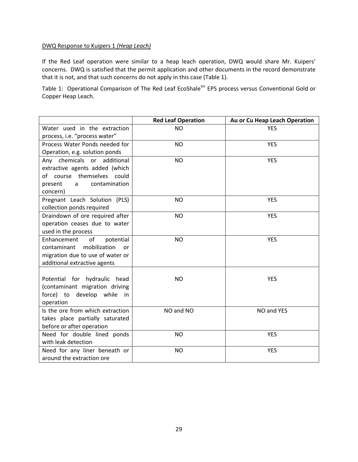#### DWQ Response to Kuipers 1 *(Heap Leach)*

If the Red Leaf operation were similar to a heap leach operation, DWQ would share Mr. Kuipers' concerns. DWQ is satisfied that the permit application and other documents in the record demonstrate that it is not, and that such concerns do not apply in this case (Table 1).

Table 1: Operational Comparison of The Red Leaf EcoShale<sup>tm</sup> EPS process versus Conventional Gold or Copper Heap Leach.

|                                   | <b>Red Leaf Operation</b> | Au or Cu Heap Leach Operation |
|-----------------------------------|---------------------------|-------------------------------|
| Water used in the extraction      | <b>NO</b>                 | <b>YES</b>                    |
| process, i.e. "process water"     |                           |                               |
| Process Water Ponds needed for    | <b>NO</b>                 | <b>YES</b>                    |
| Operation, e.g. solution ponds    |                           |                               |
| Any chemicals or additional       | <b>NO</b>                 | <b>YES</b>                    |
| extractive agents added (which    |                           |                               |
| of course themselves could        |                           |                               |
| contamination<br>present<br>a     |                           |                               |
| concern)                          |                           |                               |
| Pregnant Leach Solution (PLS)     | NO.                       | <b>YES</b>                    |
| collection ponds required         |                           |                               |
| Draindown of ore required after   | <b>NO</b>                 | <b>YES</b>                    |
| operation ceases due to water     |                           |                               |
| used in the process               |                           |                               |
| Enhancement<br>of<br>potential    | <b>NO</b>                 | <b>YES</b>                    |
| mobilization<br>contaminant<br>or |                           |                               |
| migration due to use of water or  |                           |                               |
| additional extractive agents      |                           |                               |
|                                   |                           |                               |
| Potential for hydraulic head      | <b>NO</b>                 | <b>YES</b>                    |
| (contaminant migration driving    |                           |                               |
| force) to develop while<br>in     |                           |                               |
| operation                         |                           |                               |
| Is the ore from which extraction  | NO and NO                 | NO and YES                    |
| takes place partially saturated   |                           |                               |
| before or after operation         |                           |                               |
| Need for double lined ponds       | <b>NO</b>                 | <b>YES</b>                    |
| with leak detection               |                           |                               |
| Need for any liner beneath or     | <b>NO</b>                 | <b>YES</b>                    |
| around the extraction ore         |                           |                               |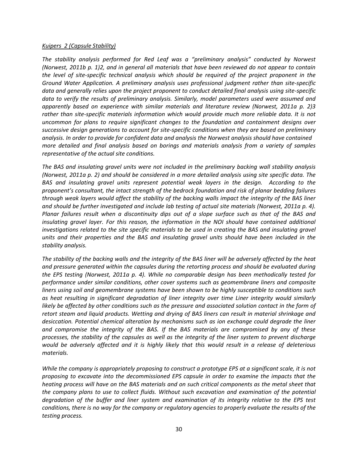#### *Kuipers 2 (Capsule Stability)*

*The stability analysis performed for Red Leaf was a "preliminary analysis" conducted by Norwest (Norwest, 2011b p. 1)2, and in general all materials that have been reviewed do not appear to contain the level of site-specific technical analysis which should be required of the project proponent in the Ground Water Application. A preliminary analysis uses professional judgment rather than site-specific data and generally relies upon the project proponent to conduct detailed final analysis using site-specific data to verify the results of preliminary analysis. Similarly, model parameters used were assumed and apparently based on experience with similar materials and literature review (Norwest, 2011a p. 2)3 rather than site-specific materials information which would provide much more reliable data. It is not uncommon for plans to require significant changes to the foundation and containment designs over successive design generations to account for site-specific conditions when they are based on preliminary analysis. In order to provide for confident data and analysis the Norwest analysis should have contained more detailed and final analysis based on borings and materials analysis from a variety of samples representative of the actual site conditions.*

*The BAS and insulating gravel units were not included in the preliminary backing wall stability analysis (Norwest, 2011a p. 2) and should be considered in a more detailed analysis using site specific data. The BAS and insulating gravel units represent potential weak layers in the design. According to the proponent's consultant, the intact strength of the bedrock foundation and risk of planar bedding failures through weak layers would affect the stability of the backing walls impact the integrity of the BAS liner and should be further investigated and include lab testing of actual site materials (Norwest, 2011a p. 4). Planar failures result when a discontinuity dips out of a slope surface such as that of the BAS and insulating gravel layer. For this reason, the information in the NOI should have contained additional investigations related to the site specific materials to be used in creating the BAS and insulating gravel units and their properties and the BAS and insulating gravel units should have been included in the stability analysis.*

*The stability of the backing walls and the integrity of the BAS liner will be adversely affected by the heat and pressure generated within the capsules during the retorting process and should be evaluated during the EPS testing (Norwest, 2011a p. 4). While no comparable design has been methodically tested for performance under similar conditions, other cover systems such as geomembrane liners and composite liners using soil and geomembrane systems have been shown to be highly susceptible to conditions such as heat resulting in significant degradation of liner integrity over time Liner integrity would similarly likely be affected by other conditions such as the pressure and associated solution contact in the form of retort steam and liquid products. Wetting and drying of BAS liners can result in material shrinkage and desiccation. Potential chemical alteration by mechanisms such as ion exchange could degrade the liner and compromise the integrity of the BAS. If the BAS materials are compromised by any of these processes, the stability of the capsules as well as the integrity of the liner system to prevent discharge would be adversely affected and it is highly likely that this would result in a release of deleterious materials.*

*While the company is appropriately proposing to construct a prototype EPS at a significant scale, it is not proposing to excavate into the decommissioned EPS capsule in order to examine the impacts that the heating process will have on the BAS materials and on such critical components as the metal sheet that the company plans to use to collect fluids. Without such excavation and examination of the potential degradation of the buffer and liner system and examination of its integrity relative to the EPS test conditions, there is no way for the company or regulatory agencies to properly evaluate the results of the testing process.*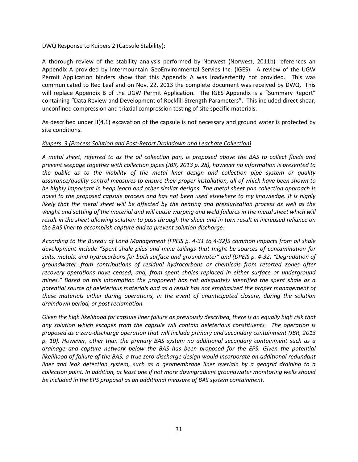#### DWQ Response to Kuipers 2 (Capsule Stability):

A thorough review of the stability analysis performed by Norwest (Norwest, 2011b) references an Appendix A provided by Intermountain GeoEnvironmental Servies Inc. (IGES). A review of the UGW Permit Application binders show that this Appendix A was inadvertently not provided. This was communicated to Red Leaf and on Nov. 22, 2013 the complete document was received by DWQ. This will replace Appendix B of the UGW Permit Application. The IGES Appendix is a "Summary Report" containing "Data Review and Development of Rockfill Strength Parameters". This included direct shear, unconfined compression and triaxial compression testing of site specific materials.

As described under II(4.1) excavation of the capsule is not necessary and ground water is protected by site conditions.

#### *Kuipers 3 (Process Solution and Post-Retort Draindown and Leachate Collection)*

*A metal sheet, referred to as the oil collection pan, is proposed above the BAS to collect fluids and prevent seepage together with collection pipes (JBR, 2013 p. 28), however no information is presented to the public as to the viability of the metal liner design and collection pipe system or quality assurance/quality control measures to ensure their proper installation, all of which have been shown to be highly important in heap leach and other similar designs. The metal sheet pan collection approach is novel to the proposed capsule process and has not been used elsewhere to my knowledge. It is highly likely that the metal sheet will be affected by the heating and pressurization process as well as the weight and settling of the material and will cause warping and weld failures in the metal sheet which will result in the sheet allowing solution to pass through the sheet and in turn result in increased reliance on the BAS liner to accomplish capture and to prevent solution discharge.*

*According to the Bureau of Land Management (FPEIS p. 4-31 to 4-32)5 common impacts from oil shale development include "Spent shale piles and mine tailings that might be sources of contamination for salts, metals, and hydrocarbons for both surface and groundwater" and (DPEIS p. 4-32) "Degradation of groundwater…from contributions of residual hydrocarbons or chemicals from retorted zones after recovery operations have ceased; and, from spent shales replaced in either surface or underground mines." Based on this information the proponent has not adequately identified the spent shale as a potential source of deleterious materials and as a result has not emphasized the proper management of these materials either during operations, in the event of unanticipated closure, during the solution draindown period, or post reclamation.*

*Given the high likelihood for capsule liner failure as previously described, there is an equally high risk that any solution which escapes from the capsule will contain deleterious constituents. The operation is proposed as a zero-discharge operation that will include primary and secondary containment (JBR, 2013 p. 10). However, other than the primary BAS system no additional secondary containment such as a drainage and capture network below the BAS has been proposed for the EPS. Given the potential*  likelihood of failure of the BAS, a true zero-discharge design would incorporate an additional redundant *liner and leak detection system, such as a geomembrane liner overlain by a geogrid draining to a collection point. In addition, at least one if not more downgradient groundwater monitoring wells should be included in the EPS proposal as an additional measure of BAS system containment.*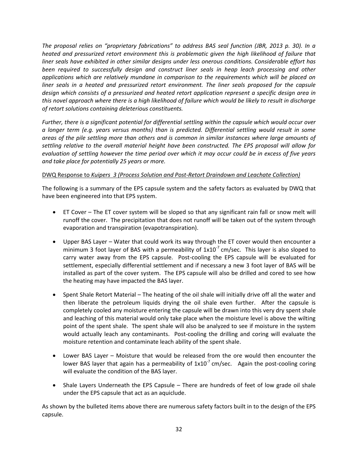*The proposal relies on "proprietary fabrications" to address BAS seal function (JBR, 2013 p. 30). In a heated and pressurized retort environment this is problematic given the high likelihood of failure that liner seals have exhibited in other similar designs under less onerous conditions. Considerable effort has been required to successfully design and construct liner seals in heap leach processing and other applications which are relatively mundane in comparison to the requirements which will be placed on liner seals in a heated and pressurized retort environment. The liner seals proposed for the capsule design which consists of a pressurized and heated retort application represent a specific design area in this novel approach where there is a high likelihood of failure which would be likely to result in discharge of retort solutions containing deleterious constituents.*

*Further, there is a significant potential for differential settling within the capsule which would occur over a longer term (e.g. years versus months) than is predicted. Differential settling would result in some areas of the pile settling more than others and is common in similar instances where large amounts of settling relative to the overall material height have been constructed. The EPS proposal will allow for evaluation of settling however the time period over which it may occur could be in excess of five years and take place for potentially 25 years or more.*

## DWQ Response to *Kuipers 3 (Process Solution and Post-Retort Draindown and Leachate Collection)*

The following is a summary of the EPS capsule system and the safety factors as evaluated by DWQ that have been engineered into that EPS system.

- ET Cover The ET cover system will be sloped so that any significant rain fall or snow melt will runoff the cover. The precipitation that does not runoff will be taken out of the system through evaporation and transpiration (evapotranspiration).
- Upper BAS Layer Water that could work its way through the ET cover would then encounter a minimum 3 foot layer of BAS with a permeability of  $1x10<sup>-7</sup>$  cm/sec. This layer is also sloped to carry water away from the EPS capsule. Post-cooling the EPS capsule will be evaluated for settlement, especially differential settlement and if necessary a new 3 foot layer of BAS will be installed as part of the cover system. The EPS capsule will also be drilled and cored to see how the heating may have impacted the BAS layer.
- Spent Shale Retort Material The heating of the oil shale will initially drive off all the water and then liberate the petroleum liquids drying the oil shale even further. After the capsule is completely cooled any moisture entering the capsule will be drawn into this very dry spent shale and leaching of this material would only take place when the moisture level is above the wilting point of the spent shale. The spent shale will also be analyzed to see if moisture in the system would actually leach any contaminants. Post-cooling the drilling and coring will evaluate the moisture retention and contaminate leach ability of the spent shale.
- Lower BAS Layer Moisture that would be released from the ore would then encounter the lower BAS layer that again has a permeability of  $1x10<sup>-7</sup>$  cm/sec. Again the post-cooling coring will evaluate the condition of the BAS layer.
- Shale Layers Underneath the EPS Capsule There are hundreds of feet of low grade oil shale under the EPS capsule that act as an aquiclude.

As shown by the bulleted items above there are numerous safety factors built in to the design of the EPS capsule.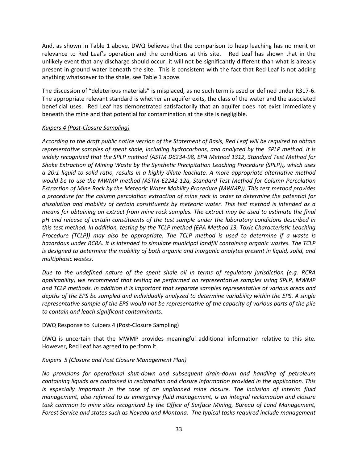And, as shown in Table 1 above, DWQ believes that the comparison to heap leaching has no merit or relevance to Red Leaf's operation and the conditions at this site. Red Leaf has shown that in the unlikely event that any discharge should occur, it will not be significantly different than what is already present in ground water beneath the site. This is consistent with the fact that Red Leaf is not adding anything whatsoever to the shale, see Table 1 above.

The discussion of "deleterious materials" is misplaced, as no such term is used or defined under R317-6. The appropriate relevant standard is whether an aquifer exits, the class of the water and the associated beneficial uses. Red Leaf has demonstrated satisfactorily that an aquifer does not exist immediately beneath the mine and that potential for contamination at the site is negligible.

#### *Kuipers 4 (Post-Closure Sampling)*

*According to the draft public notice version of the Statement of Basis, Red Leaf will be required to obtain representative samples of spent shale, including hydrocarbons, and analyzed by the SPLP method. It is widely recognized that the SPLP method (ASTM D6234-98, EPA Method 1312, Standard Test Method for Shake Extraction of Mining Waste by the Synthetic Precipitation Leaching Procedure (SPLP)), which uses a 20:1 liquid to solid ratio, results in a highly dilute leachate. A more appropriate alternative method would be to use the MWMP method (ASTM-E2242-12a, Standard Test Method for Column Percolation Extraction of Mine Rock by the Meteoric Water Mobility Procedure (MWMP)). This test method provides a procedure for the column percolation extraction of mine rock in order to determine the potential for dissolution and mobility of certain constituents by meteoric water. This test method is intended as a means for obtaining an extract from mine rock samples. The extract may be used to estimate the final pH and release of certain constituents of the test sample under the laboratory conditions described in this test method. In addition, testing by the TCLP method (EPA Method 13, Toxic Characteristic Leaching Procedure (TCLP)) may also be appropriate. The TCLP method is used to determine if a waste is hazardous under RCRA. It is intended to simulate municipal landfill containing organic wastes. The TCLP is designed to determine the mobility of both organic and inorganic analytes present in liquid, solid, and multiphasic wastes.*

*Due to the undefined nature of the spent shale oil in terms of regulatory jurisdiction (e.g. RCRA applicability) we recommend that testing be performed on representative samples using SPLP, MWMP and TCLP methods. In addition it is important that separate samples representative of various areas and depths of the EPS be sampled and individually analyzed to determine variability within the EPS. A single representative sample of the EPS would not be representative of the capacity of various parts of the pile to contain and leach significant contaminants.*

## DWQ Response to Kuipers 4 (Post-Closure Sampling)

DWQ is uncertain that the MWMP provides meaningful additional information relative to this site. However, Red Leaf has agreed to perform it.

## *Kuipers 5 (Closure and Post Closure Management Plan)*

*No provisions for operational shut-down and subsequent drain-down and handling of petroleum containing liquids are contained in reclamation and closure information provided in the application. This is especially important in the case of an unplanned mine closure. The inclusion of interim fluid management, also referred to as emergency fluid management, is an integral reclamation and closure task common to mine sites recognized by the Office of Surface Mining, Bureau of Land Management, Forest Service and states such as Nevada and Montana. The typical tasks required include management*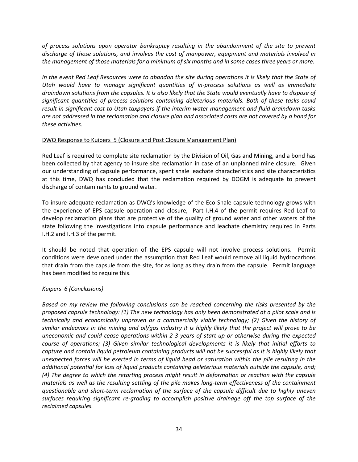*of process solutions upon operator bankruptcy resulting in the abandonment of the site to prevent discharge of those solutions, and involves the cost of manpower, equipment and materials involved in the management of those materials for a minimum of six months and in some cases three years or more.*

*In the event Red Leaf Resources were to abandon the site during operations it is likely that the State of Utah would have to manage significant quantities of in-process solutions as well as immediate draindown solutions from the capsules. It is also likely that the State would eventually have to dispose of significant quantities of process solutions containing deleterious materials. Both of these tasks could result in significant cost to Utah taxpayers if the interim water management and fluid draindown tasks are not addressed in the reclamation and closure plan and associated costs are not covered by a bond for these activities*.

#### DWQ Response to Kuipers 5 (Closure and Post Closure Management Plan)

Red Leaf is required to complete site reclamation by the Division of Oil, Gas and Mining, and a bond has been collected by that agency to insure site reclamation in case of an unplanned mine closure. Given our understanding of capsule performance, spent shale leachate characteristics and site characteristics at this time, DWQ has concluded that the reclamation required by DOGM is adequate to prevent discharge of contaminants to ground water.

To insure adequate reclamation as DWQ's knowledge of the Eco-Shale capsule technology grows with the experience of EPS capsule operation and closure, Part I.H.4 of the permit requires Red Leaf to develop reclamation plans that are protective of the quality of ground water and other waters of the state following the investigations into capsule performance and leachate chemistry required in Parts I.H.2 and I.H.3 of the permit.

It should be noted that operation of the EPS capsule will not involve process solutions. Permit conditions were developed under the assumption that Red Leaf would remove all liquid hydrocarbons that drain from the capsule from the site, for as long as they drain from the capsule. Permit language has been modified to require this.

## *Kuipers 6 (Conclusions)*

*Based on my review the following conclusions can be reached concerning the risks presented by the proposed capsule technology: (1) The new technology has only been demonstrated at a pilot scale and is technically and economically unproven as a commercially viable technology; (2) Given the history of similar endeavors in the mining and oil/gas industry it is highly likely that the project will prove to be uneconomic and could cease operations within 2-3 years of start-up or otherwise during the expected course of operations; (3) Given similar technological developments it is likely that initial efforts to capture and contain liquid petroleum containing products will not be successful as it is highly likely that unexpected forces will be exerted in terms of liquid head or saturation within the pile resulting in the additional potential for loss of liquid products containing deleterious materials outside the capsule, and; (4) The degree to which the retorting process might result in deformation or reaction with the capsule materials as well as the resulting settling of the pile makes long-term effectiveness of the containment questionable and short-term reclamation of the surface of the capsule difficult due to highly uneven surfaces requiring significant re-grading to accomplish positive drainage off the top surface of the reclaimed capsules.*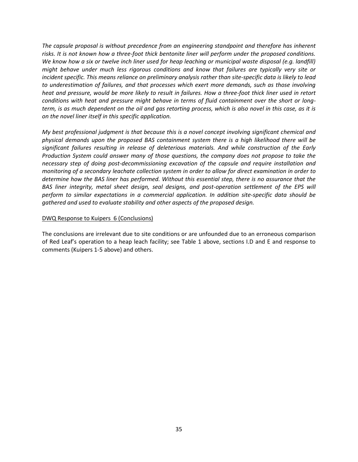*The capsule proposal is without precedence from an engineering standpoint and therefore has inherent risks. It is not known how a three-foot thick bentonite liner will perform under the proposed conditions. We know how a six or twelve inch liner used for heap leaching or municipal waste disposal (e.g. landfill) might behave under much less rigorous conditions and know that failures are typically very site or incident specific. This means reliance on preliminary analysis rather than site-specific data is likely to lead to underestimation of failures, and that processes which exert more demands, such as those involving heat and pressure, would be more likely to result in failures. How a three-foot thick liner used in retort conditions with heat and pressure might behave in terms of fluid containment over the short or longterm, is as much dependent on the oil and gas retorting process, which is also novel in this case, as it is on the novel liner itself in this specific application.*

*My best professional judgment is that because this is a novel concept involving significant chemical and physical demands upon the proposed BAS containment system there is a high likelihood there will be significant failures resulting in release of deleterious materials. And while construction of the Early Production System could answer many of those questions, the company does not propose to take the necessary step of doing post-decommissioning excavation of the capsule and require installation and monitoring of a secondary leachate collection system in order to allow for direct examination in order to determine how the BAS liner has performed. Without this essential step, there is no assurance that the BAS liner integrity, metal sheet design, seal designs, and post-operation settlement of the EPS will perform to similar expectations in a commercial application. In addition site-specific data should be gathered and used to evaluate stability and other aspects of the proposed design.*

#### DWQ Response to Kuipers 6 (Conclusions)

The conclusions are irrelevant due to site conditions or are unfounded due to an erroneous comparison of Red Leaf's operation to a heap leach facility; see Table 1 above, sections I.D and E and response to comments (Kuipers 1-5 above) and others.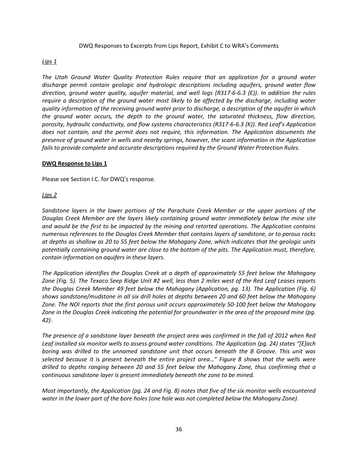#### DWQ Responses to Excerpts from Lips Report, Exhibit C to WRA's Comments

#### *Lips 1*

*The Utah Ground Water Quality Protection Rules require that an application for a ground water discharge permit contain geologic and hydrologic descriptions including aquifers, ground water flow direction, ground water quality, aquifer material, and well logs (R317-6-6.3 (E)). In addition the rules require a description of the ground water most likely to be affected by the discharge, including water quality information of the receiving ground water prior to discharge, a description of the aquifer in which the ground water occurs, the depth to the ground water, the saturated thickness, flow direction, porosity, hydraulic conductivity, and flow systems characteristics (R317-6-6.3 (K)). Red Leaf's Application does not contain, and the permit does not require, this information. The Application documents the presence of ground water in wells and nearby springs, however, the scant information in the Application fails to provide complete and accurate descriptions required by the Ground Water Protection Rules.*

#### **DWQ Response to Lips 1**

Please see Section I.C. for DWQ's response.

#### *Lips 2*

*Sandstone layers in the lower portions of the Parachute Creek Member or the upper portions of the Douglas Creek Member are the layers likely containing ground water immediately below the mine site and would be the first to be impacted by the mining and retorted operations. The Application contains numerous references to the Douglas Creek Member that contains layers of sandstone, or to porous rocks at depths as shallow as 20 to 55 feet below the Mahogany Zone, which indicates that the geologic units potentially containing ground water are close to the bottom of the pits. The Application must, therefore, contain information on aquifers in these layers.*

*The Application identifies the Douglas Creek at a depth of approximately 55 feet below the Mahogany Zone (Fig. 5). The Texaco Seep Ridge Unit #2 well, less than 2 miles west of the Red Leaf Leases reports the Douglas Creek Member 49 feet below the Mahogany (Application, pg. 13). The Application (Fig. 6) shows sandstone/mudstone in all six drill holes at depths between 20 and 60 feet below the Mahogany Zone. The NOI reports that the first porous unit occurs approximately 50-100 feet below the Mahogany Zone in the Douglas Creek indicating the potential for groundwater in the area of the proposed mine (pg. 42).* 

*The presence of a sandstone layer beneath the project area was confirmed in the fall of 2012 when Red Leaf installed six monitor wells to assess ground water conditions. The Application (pg. 24) states "[E]ach boring was drilled to the unnamed sandstone unit that occurs beneath the B Groove. This unit was selected because it is present beneath the entire project area…" Figure 8 shows that the wells were drilled to depths ranging between 20 and 55 feet below the Mahogany Zone, thus confirming that a continuous sandstone layer is present immediately beneath the zone to be mined.*

*Most importantly, the Application (pg. 24 and Fig. 8) notes that five of the six monitor wells encountered water in the lower part of the bore holes (one hole was not completed below the Mahogany Zone).*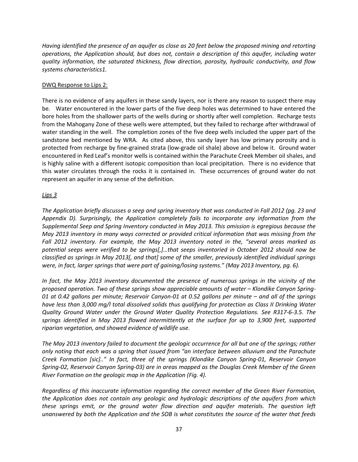*Having identified the presence of an aquifer as close as 20 feet below the proposed mining and retorting operations, the Application should, but does not, contain a description of this aquifer, including water quality information, the saturated thickness, flow direction, porosity, hydraulic conductivity, and flow systems characteristics1.*

## DWQ Response to Lips 2:

There is no evidence of any aquifers in these sandy layers, nor is there any reason to suspect there may be. Water encountered in the lower parts of the five deep holes was determined to have entered the bore holes from the shallower parts of the wells during or shortly after well completion. Recharge tests from the Mahogany Zone of these wells were attempted, but they failed to recharge after withdrawal of water standing in the well. The completion zones of the five deep wells included the upper part of the sandstone bed mentioned by WRA. As cited above, this sandy layer has low primary porosity and is protected from recharge by fine-grained strata (low-grade oil shale) above and below it. Ground water encountered in Red Leaf's monitor wells is contained within the Parachute Creek Member oil shales, and is highly saline with a different isotopic composition than local precipitation. There is no evidence that this water circulates through the rocks it is contained in. These occurrences of ground water do not represent an aquifer in any sense of the definition.

## *Lips 3*

*The Application briefly discusses a seep and spring inventory that was conducted in Fall 2012 (pg. 23 and Appendix D). Surprisingly, the Application completely fails to incorporate any information from the Supplemental Seep and Spring Inventory conducted in May 2013. This omission is egregious because the May 2013 inventory in many ways corrected or provided critical information that was missing from the Fall 2012 inventory. For example, the May 2013 inventory noted in the, "several areas marked as potential seeps were verified to be springs[,]…that seeps inventoried in October 2012 should now be classified as springs in May 2013[, and that] some of the smaller, previously identified individual springs were, in fact, larger springs that were part of gaining/losing systems." (May 2013 Inventory, pg. 6).*

*In fact, the May 2013 inventory documented the presence of numerous springs in the vicinity of the proposed operation. Two of these springs show appreciable amounts of water – Klondike Canyon Spring-01 at 0.42 gallons per minute; Reservoir Canyon-01 at 0.52 gallons per minute – and all of the springs have less than 3,000 mg/l total dissolved solids thus qualifying for protection as Class II Drinking Water Quality Ground Water under the Ground Water Quality Protection Regulations. See R317-6-3.5. The springs identified in May 2013 flowed intermittently at the surface for up to 3,900 feet, supported riparian vegetation, and showed evidence of wildlife use.*

*The May 2013 inventory failed to document the geologic occurrence for all but one of the springs; rather only noting that each was a spring that issued from "an interface between alluvium and the Parachute Creek Formation [sic].." In fact, three of the springs (Klondike Canyon Spring-01, Reservoir Canyon Spring-02, Reservoir Canyon Spring-03) are in areas mapped as the Douglas Creek Member of the Green River Formation on the geologic map in the Application (Fig. 4).*

*Regardless of this inaccurate information regarding the correct member of the Green River Formation, the Application does not contain any geologic and hydrologic descriptions of the aquifers from which these springs emit, or the ground water flow direction and aquifer materials. The question left unanswered by both the Application and the SOB is what constitutes the source of the water that feeds*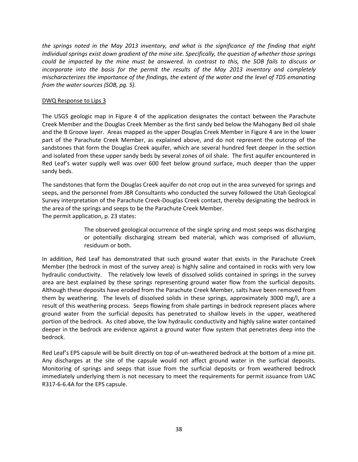*the springs noted in the May 2013 inventory, and what is the significance of the finding that eight individual springs exist down gradient of the mine site. Specifically, the question of whether those springs could be impacted by the mine must be answered. In contrast to this, the SOB fails to discuss or incorporate into the basis for the permit the results of the May 2013 inventory and completely mischaracterizes the importance of the findings, the extent of the water and the level of TDS emanating from the water sources (SOB, pg. 5).*

#### DWQ Response to Lips 3

The USGS geologic map in Figure 4 of the application designates the contact between the Parachute Creek Member and the Douglas Creek Member as the first sandy bed below the Mahogany Bed oil shale and the B Groove layer. Areas mapped as the upper Douglas Creek Member in Figure 4 are in the lower part of the Parachute Creek Member, as explained above, and do not represent the outcrop of the sandstones that form the Douglas Creek aquifer, which are several hundred feet deeper in the section and isolated from these upper sandy beds by several zones of oil shale. The first aquifer encountered in Red Leaf's water supply well was over 600 feet below ground surface, much deeper than the upper sandy beds.

The sandstones that form the Douglas Creek aquifer do not crop out in the area surveyed for springs and seeps, and the personnel from JBR Consultants who conducted the survey followed the Utah Geological Survey interpretation of the Parachute Creek-Douglas Creek contact, thereby designating the bedrock in the area of the springs and seeps to be the Parachute Creek Member. The permit application, p. 23 states:

> The observed geological occurrence of the single spring and most seeps was discharging or potentially discharging stream bed material, which was comprised of alluvium, residuum or both.

In addition, Red Leaf has demonstrated that such ground water that exists in the Parachute Creek Member (the bedrock in most of the survey area) is highly saline and contained in rocks with very low hydraulic conductivity. The relatively low levels of dissolved solids contained in springs in the survey area are best explained by these springs representing ground water flow from the surficial deposits. Although these deposits have eroded from the Parachute Creek Member, salts have been removed from them by weathering. The levels of dissolved solids in these springs, approximately 3000 mg/l, are a result of this weathering process. Seeps flowing from shale partings in bedrock represent places where ground water from the surficial deposits has penetrated to shallow levels in the upper, weathered portion of the bedrock. As cited above, the low hydraulic conductivity and highly saline water contained deeper in the bedrock are evidence against a ground water flow system that penetrates deep into the bedrock.

Red Leaf's EPS capsule will be built directly on top of un-weathered bedrock at the bottom of a mine pit. Any discharges at the site of the capsule would not affect ground water in the surficial deposits. Monitoring of springs and seeps that issue from the surficial deposits or from weathered bedrock immediately underlying them is not necessary to meet the requirements for permit issuance from UAC R317-6-6.4A for the EPS capsule.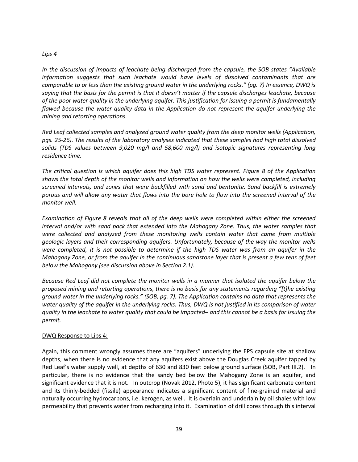#### *Lips 4*

*In the discussion of impacts of leachate being discharged from the capsule, the SOB states "Available information suggests that such leachate would have levels of dissolved contaminants that are comparable to or less than the existing ground water in the underlying rocks." (pg. 7) In essence, DWQ is saying that the basis for the permit is that it doesn't matter if the capsule discharges leachate, because of the poor water quality in the underlying aquifer. This justification for issuing a permit is fundamentally flawed because the water quality data in the Application do not represent the aquifer underlying the mining and retorting operations.*

*Red Leaf collected samples and analyzed ground water quality from the deep monitor wells (Application, pgs. 25-26). The results of the laboratory analyses indicated that these samples had high total dissolved solids (TDS values between 9,020 mg/l and 58,600 mg/l) and isotopic signatures representing long residence time.*

*The critical question is which aquifer does this high TDS water represent. Figure 8 of the Application shows the total depth of the monitor wells and information on how the wells were completed, including screened intervals, and zones that were backfilled with sand and bentonite. Sand backfill is extremely porous and will allow any water that flows into the bore hole to flow into the screened interval of the monitor well.*

*Examination of Figure 8 reveals that all of the deep wells were completed within either the screened interval and/or with sand pack that extended into the Mahogany Zone. Thus, the water samples that were collected and analyzed from these monitoring wells contain water that came from multiple geologic layers and their corresponding aquifers. Unfortunately, because of the way the monitor wells were completed, it is not possible to determine if the high TDS water was from an aquifer in the Mahogany Zone, or from the aquifer in the continuous sandstone layer that is present a few tens of feet below the Mahogany (see discussion above in Section 2.1).*

*Because Red Leaf did not complete the monitor wells in a manner that isolated the aquifer below the proposed mining and retorting operations, there is no basis for any statements regarding "[t]he existing ground water in the underlying rocks." (SOB, pg. 7). The Application contains no data that represents the water quality of the aquifer in the underlying rocks. Thus, DWQ is not justified in its comparison of water quality in the leachate to water quality that could be impacted– and this cannot be a basis for issuing the permit.*

#### DWQ Response to Lips 4:

Again, this comment wrongly assumes there are "aquifers" underlying the EPS capsule site at shallow depths, when there is no evidence that any aquifers exist above the Douglas Creek aquifer tapped by Red Leaf's water supply well, at depths of 630 and 830 feet below ground surface (SOB, Part III.2). In particular, there is no evidence that the sandy bed below the Mahogany Zone is an aquifer, and significant evidence that it is not. In outcrop (Novak 2012, Photo 5), it has significant carbonate content and its thinly-bedded (fissile) appearance indicates a significant content of fine-grained material and naturally occurring hydrocarbons, i.e. kerogen, as well. It is overlain and underlain by oil shales with low permeability that prevents water from recharging into it. Examination of drill cores through this interval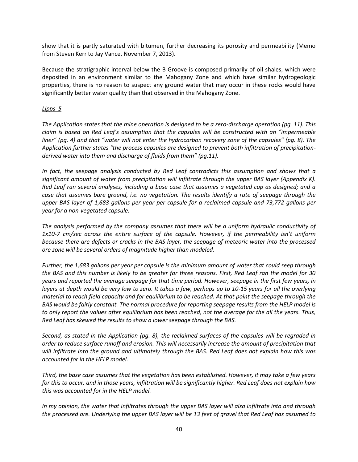show that it is partly saturated with bitumen, further decreasing its porosity and permeability (Memo from Steven Kerr to Jay Vance, November 7, 2013).

Because the stratigraphic interval below the B Groove is composed primarily of oil shales, which were deposited in an environment similar to the Mahogany Zone and which have similar hydrogeologic properties, there is no reason to suspect any ground water that may occur in these rocks would have significantly better water quality than that observed in the Mahogany Zone.

### *Lipps 5*

*The Application states that the mine operation is designed to be a zero-discharge operation (pg. 11). This claim is based on Red Leaf's assumption that the capsules will be constructed with an "impermeable liner" (pg. 4) and that "water will not enter the hydrocarbon recovery zone of the capsules" (pg. 8). The Application further states "the process capsules are designed to prevent both infiltration of precipitationderived water into them and discharge of fluids from them" (pg.11).*

*In fact, the seepage analysis conducted by Red Leaf contradicts this assumption and shows that a significant amount of water from precipitation will infiltrate through the upper BAS layer (Appendix K). Red Leaf ran several analyses, including a base case that assumes a vegetated cap as designed; and a case that assumes bare ground, i.e. no vegetation. The results identify a rate of seepage through the upper BAS layer of 1,683 gallons per year per capsule for a reclaimed capsule and 73,772 gallons per year for a non-vegetated capsule.*

*The analysis performed by the company assumes that there will be a uniform hydraulic conductivity of 1x10-7 cm/sec across the entire surface of the capsule. However, if the permeability isn't uniform because there are defects or cracks in the BAS layer, the seepage of meteoric water into the processed ore zone will be several orders of magnitude higher than modeled.*

*Further, the 1,683 gallons per year per capsule is the minimum amount of water that could seep through the BAS and this number is likely to be greater for three reasons. First, Red Leaf ran the model for 30 years and reported the average seepage for that time period. However, seepage in the first few years, in layers at depth would be very low to zero. It takes a few, perhaps up to 10-15 years for all the overlying material to reach field capacity and for equilibrium to be reached. At that point the seepage through the BAS would be fairly constant. The normal procedure for reporting seepage results from the HELP model is to only report the values after equilibrium has been reached, not the average for the all the years. Thus, Red Leaf has skewed the results to show a lower seepage through the BAS.*

*Second, as stated in the Application (pg. 8), the reclaimed surfaces of the capsules will be regraded in order to reduce surface runoff and erosion. This will necessarily increase the amount of precipitation that will infiltrate into the ground and ultimately through the BAS. Red Leaf does not explain how this was accounted for in the HELP model.*

*Third, the base case assumes that the vegetation has been established. However, it may take a few years for this to occur, and in those years, infiltration will be significantly higher. Red Leaf does not explain how this was accounted for in the HELP model.*

*In my opinion, the water that infiltrates through the upper BAS layer will also infiltrate into and through the processed ore. Underlying the upper BAS layer will be 13 feet of gravel that Red Leaf has assumed to*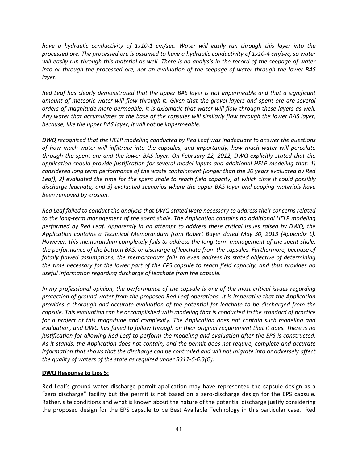*have a hydraulic conductivity of 1x10-1 cm/sec. Water will easily run through this layer into the processed ore. The processed ore is assumed to have a hydraulic conductivity of 1x10-4 cm/sec, so water will easily run through this material as well. There is no analysis in the record of the seepage of water into or through the processed ore, nor an evaluation of the seepage of water through the lower BAS layer.*

*Red Leaf has clearly demonstrated that the upper BAS layer is not impermeable and that a significant amount of meteoric water will flow through it. Given that the gravel layers and spent ore are several orders of magnitude more permeable, it is axiomatic that water will flow through these layers as well. Any water that accumulates at the base of the capsules will similarly flow through the lower BAS layer, because, like the upper BAS layer, it will not be impermeable.*

*DWQ recognized that the HELP modeling conducted by Red Leaf was inadequate to answer the questions of how much water will infiltrate into the capsules, and importantly, how much water will percolate through the spent ore and the lower BAS layer. On February 12, 2012, DWQ explicitly stated that the application should provide justification for several model inputs and additional HELP modeling that: 1) considered long term performance of the waste containment (longer than the 30 years evaluated by Red Leaf), 2) evaluated the time for the spent shale to reach field capacity, at which time it could possibly discharge leachate, and 3) evaluated scenarios where the upper BAS layer and capping materials have been removed by erosion.*

*Red Leaf failed to conduct the analysis that DWQ stated were necessary to address their concerns related to the long-term management of the spent shale. The Application contains no additional HELP modeling performed by Red Leaf. Apparently in an attempt to address these critical issues raised by DWQ, the Application contains a Technical Memorandum from Robert Bayer dated May 30, 2013 (Appendix L). However, this memorandum completely fails to address the long-term management of the spent shale, the performance of the bottom BAS, or discharge of leachate from the capsules. Furthermore, because of fatally flawed assumptions, the memorandum fails to even address its stated objective of determining the time necessary for the lower part of the EPS capsule to reach field capacity, and thus provides no useful information regarding discharge of leachate from the capsule.*

*In my professional opinion, the performance of the capsule is one of the most critical issues regarding protection of ground water from the proposed Red Leaf operations. It is imperative that the Application provides a thorough and accurate evaluation of the potential for leachate to be discharged from the capsule. This evaluation can be accomplished with modeling that is conducted to the standard of practice for a project of this magnitude and complexity. The Application does not contain such modeling and evaluation, and DWQ has failed to follow through on their original requirement that it does. There is no justification for allowing Red Leaf to perform the modeling and evaluation after the EPS is constructed. As it stands, the Application does not contain, and the permit does not require, complete and accurate information that shows that the discharge can be controlled and will not migrate into or adversely affect the quality of waters of the state as required under R317-6-6.3(G).*

#### **DWQ Response to Lips 5:**

Red Leaf's ground water discharge permit application may have represented the capsule design as a "zero discharge" facility but the permit is not based on a zero-discharge design for the EPS capsule. Rather, site conditions and what is known about the nature of the potential discharge justify considering the proposed design for the EPS capsule to be Best Available Technology in this particular case. Red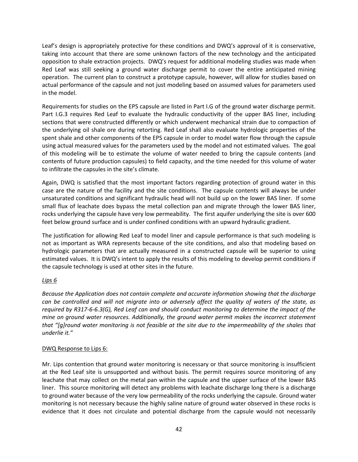Leaf's design is appropriately protective for these conditions and DWQ's approval of it is conservative, taking into account that there are some unknown factors of the new technology and the anticipated opposition to shale extraction projects. DWQ's request for additional modeling studies was made when Red Leaf was still seeking a ground water discharge permit to cover the entire anticipated mining operation. The current plan to construct a prototype capsule, however, will allow for studies based on actual performance of the capsule and not just modeling based on assumed values for parameters used in the model.

Requirements for studies on the EPS capsule are listed in Part I.G of the ground water discharge permit. Part I.G.3 requires Red Leaf to evaluate the hydraulic conductivity of the upper BAS liner, including sections that were constructed differently or which underwent mechanical strain due to compaction of the underlying oil shale ore during retorting. Red Leaf shall also evaluate hydrologic properties of the spent shale and other components of the EPS capsule in order to model water flow through the capsule using actual measured values for the parameters used by the model and not estimated values. The goal of this modeling will be to estimate the volume of water needed to bring the capsule contents (and contents of future production capsules) to field capacity, and the time needed for this volume of water to infiltrate the capsules in the site's climate.

Again, DWQ is satisfied that the most important factors regarding protection of ground water in this case are the nature of the facility and the site conditions. The capsule contents will always be under unsaturated conditions and significant hydraulic head will not build up on the lower BAS liner. If some small flux of leachate does bypass the metal collection pan and migrate through the lower BAS liner, rocks underlying the capsule have very low permeability. The first aquifer underlying the site is over 600 feet below ground surface and is under confined conditions with an upward hydraulic gradient.

The justification for allowing Red Leaf to model liner and capsule performance is that such modeling is not as important as WRA represents because of the site conditions, and also that modeling based on hydrologic parameters that are actually measured in a constructed capsule will be superior to using estimated values. It is DWQ's intent to apply the results of this modeling to develop permit conditions if the capsule technology is used at other sites in the future.

## *Lips 6*

*Because the Application does not contain complete and accurate information showing that the discharge can be controlled and will not migrate into or adversely affect the quality of waters of the state, as required by R317-6-6.3(G), Red Leaf can and should conduct monitoring to determine the impact of the mine on ground water resources. Additionally, the ground water permit makes the incorrect statement that "[g]round water monitoring is not feasible at the site due to the impermeability of the shales that underlie it."*

#### DWQ Response to Lips 6:

Mr. Lips contention that ground water monitoring is necessary or that source monitoring is insufficient at the Red Leaf site is unsupported and without basis. The permit requires source monitoring of any leachate that may collect on the metal pan within the capsule and the upper surface of the lower BAS liner. This source monitoring will detect any problems with leachate discharge long there is a discharge to ground water because of the very low permeability of the rocks underlying the capsule. Ground water monitoring is not necessary because the highly saline nature of ground water observed in these rocks is evidence that it does not circulate and potential discharge from the capsule would not necessarily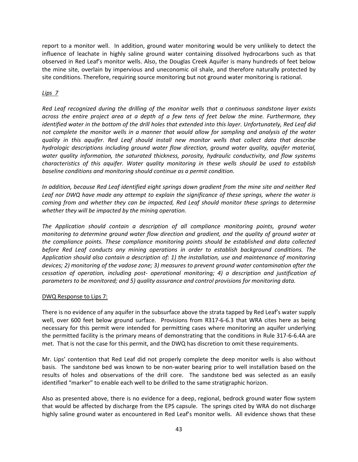report to a monitor well. In addition, ground water monitoring would be very unlikely to detect the influence of leachate in highly saline ground water containing dissolved hydrocarbons such as that observed in Red Leaf's monitor wells. Also, the Douglas Creek Aquifer is many hundreds of feet below the mine site, overlain by impervious and uneconomic oil shale, and therefore naturally protected by site conditions. Therefore, requiring source monitoring but not ground water monitoring is rational.

## *Lips 7*

*Red Leaf recognized during the drilling of the monitor wells that a continuous sandstone layer exists across the entire project area at a depth of a few tens of feet below the mine. Furthermore, they identified water in the bottom of the drill holes that extended into this layer. Unfortunately, Red Leaf did not complete the monitor wells in a manner that would allow for sampling and analysis of the water quality in this aquifer. Red Leaf should install new monitor wells that collect data that describe hydrologic descriptions including ground water flow direction, ground water quality, aquifer material, water quality information, the saturated thickness, porosity, hydraulic conductivity, and flow systems characteristics of this aquifer. Water quality monitoring in these wells should be used to establish baseline conditions and monitoring should continue as a permit condition.*

*In addition, because Red Leaf identified eight springs down gradient from the mine site and neither Red Leaf nor DWQ have made any attempt to explain the significance of these springs, where the water is coming from and whether they can be impacted, Red Leaf should monitor these springs to determine whether they will be impacted by the mining operation.*

*The Application should contain a description of all compliance monitoring points, ground water monitoring to determine ground water flow direction and gradient, and the quality of ground water at the compliance points. These compliance monitoring points should be established and data collected before Red Leaf conducts any mining operations in order to establish background conditions. The Application should also contain a description of: 1) the installation, use and maintenance of monitoring devices; 2) monitoring of the vadose zone; 3) measures to prevent ground water contamination after the cessation of operation, including post- operational monitoring; 4) a description and justification of parameters to be monitored; and 5) quality assurance and control provisions for monitoring data.*

#### DWQ Response to Lips 7:

There is no evidence of any aquifer in the subsurface above the strata tapped by Red Leaf's water supply well, over 600 feet below ground surface. Provisions from R317-6-6.3 that WRA cites here as being necessary for this permit were intended for permitting cases where monitoring an aquifer underlying the permitted facility is the primary means of demonstrating that the conditions in Rule 317-6-6.4A are met. That is not the case for this permit, and the DWQ has discretion to omit these requirements.

Mr. Lips' contention that Red Leaf did not properly complete the deep monitor wells is also without basis. The sandstone bed was known to be non-water bearing prior to well installation based on the results of holes and observations of the drill core. The sandstone bed was selected as an easily identified "marker" to enable each well to be drilled to the same stratigraphic horizon.

Also as presented above, there is no evidence for a deep, regional, bedrock ground water flow system that would be affected by discharge from the EPS capsule. The springs cited by WRA do not discharge highly saline ground water as encountered in Red Leaf's monitor wells. All evidence shows that these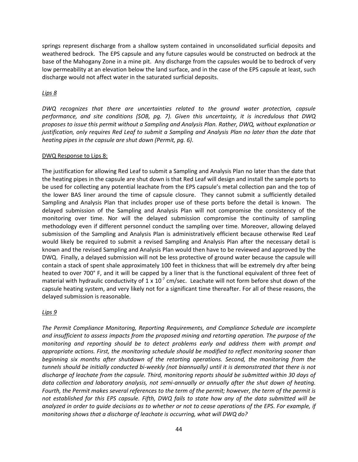springs represent discharge from a shallow system contained in unconsolidated surficial deposits and weathered bedrock. The EPS capsule and any future capsules would be constructed on bedrock at the base of the Mahogany Zone in a mine pit. Any discharge from the capsules would be to bedrock of very low permeability at an elevation below the land surface, and in the case of the EPS capsule at least, such discharge would not affect water in the saturated surficial deposits.

## *Lips 8*

*DWQ recognizes that there are uncertainties related to the ground water protection, capsule performance, and site conditions (SOB, pg. 7). Given this uncertainty, it is incredulous that DWQ proposes to issue this permit without a Sampling and Analysis Plan. Rather, DWQ, without explanation or justification, only requires Red Leaf to submit a Sampling and Analysis Plan no later than the date that heating pipes in the capsule are shut down (Permit, pg. 6).*

## DWQ Response to Lips 8:

The justification for allowing Red Leaf to submit a Sampling and Analysis Plan no later than the date that the heating pipes in the capsule are shut down is that Red Leaf will design and install the sample ports to be used for collecting any potential leachate from the EPS capsule's metal collection pan and the top of the lower BAS liner around the time of capsule closure. They cannot submit a sufficiently detailed Sampling and Analysis Plan that includes proper use of these ports before the detail is known. The delayed submission of the Sampling and Analysis Plan will not compromise the consistency of the monitoring over time. Nor will the delayed submission compromise the continuity of sampling methodology even if different personnel conduct the sampling over time. Moreover, allowing delayed submission of the Sampling and Analysis Plan is administratively efficient because otherwise Red Leaf would likely be required to submit a revised Sampling and Analysis Plan after the necessary detail is known and the revised Sampling and Analysis Plan would then have to be reviewed and approved by the DWQ. Finally, a delayed submission will not be less protective of ground water because the capsule will contain a stack of spent shale approximately 100 feet in thickness that will be extremely dry after being heated to over 700° F, and it will be capped by a liner that is the functional equivalent of three feet of material with hydraulic conductivity of 1 x  $10<sup>-7</sup>$  cm/sec. Leachate will not form before shut down of the capsule heating system, and very likely not for a significant time thereafter. For all of these reasons, the delayed submission is reasonable.

## *Lips 9*

*The Permit Compliance Monitoring, Reporting Requirements, and Compliance Schedule are incomplete and insufficient to assess impacts from the proposed mining and retorting operation. The purpose of the monitoring and reporting should be to detect problems early and address them with prompt and appropriate actions. First, the monitoring schedule should be modified to reflect monitoring sooner than beginning six months after shutdown of the retorting operations. Second, the monitoring from the tunnels should be initially conducted bi-weekly (not biannually) until it is demonstrated that there is not discharge of leachate from the capsule. Third, monitoring reports should be submitted within 30 days of data collection and laboratory analysis, not semi-annually or annually after the shut down of heating. Fourth, the Permit makes several references to the term of the permit; however, the term of the permit is not established for this EPS capsule. Fifth, DWQ fails to state how any of the data submitted will be analyzed in order to guide decisions as to whether or not to cease operations of the EPS. For example, if monitoring shows that a discharge of leachate is occurring, what will DWQ do?*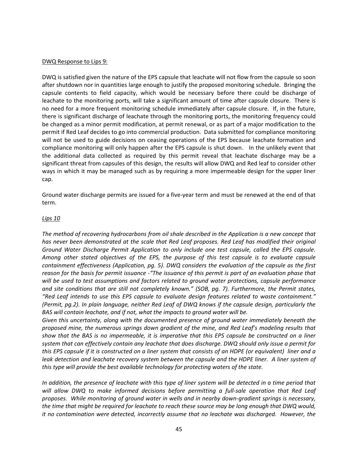#### DWQ Response to Lips 9:

DWQ is satisfied given the nature of the EPS capsule that leachate will not flow from the capsule so soon after shutdown nor in quantities large enough to justify the proposed monitoring schedule. Bringing the capsule contents to field capacity, which would be necessary before there could be discharge of leachate to the monitoring ports, will take a significant amount of time after capsule closure. There is no need for a more frequent monitoring schedule immediately after capsule closure. If, in the future, there is significant discharge of leachate through the monitoring ports, the monitoring frequency could be changed as a minor permit modification, at permit renewal, or as part of a major modification to the permit if Red Leaf decides to go into commercial production. Data submitted for compliance monitoring will not be used to guide decisions on ceasing operations of the EPS because leachate formation and compliance monitoring will only happen after the EPS capsule is shut down. In the unlikely event that the additional data collected as required by this permit reveal that leachate discharge may be a significant threat from capsules of this design, the results will allow DWQ and Red leaf to consider other ways in which it may be managed such as by requiring a more impermeable design for the upper liner cap.

Ground water discharge permits are issued for a five-year term and must be renewed at the end of that term.

#### *Lips 10*

*The method of recovering hydrocarbons from oil shale described in the Application is a new concept that has never been demonstrated at the scale that Red Leaf proposes. Red Leaf has modified their original Ground Water Discharge Permit Application to only include one test capsule, called the EPS capsule. Among other stated objectives of the EPS, the purpose of this test capsule is to evaluate capsule containment effectiveness (Application, pg. 5). DWQ considers the evaluation of the capsule as the first reason for the basis for permit issuance -"The issuance of this permit is part of an evaluation phase that will be used to test assumptions and factors related to ground water protections, capsule performance and site conditions that are still not completely known." (SOB, pg. 7). Furthermore, the Permit states, "Red Leaf intends to use this EPS capsule to evaluate design features related to waste containment." (Permit, pg.2). In plain language, neither Red Leaf of DWQ knows if the capsule design, particularly the BAS will contain leachate, and if not, what the impacts to ground water will be.*

*Given this uncertainty, along with the documented presence of ground water immediately beneath the proposed mine, the numerous springs down gradient of the mine, and Red Leaf's modeling results that show that the BAS is no impermeable, it is imperative that this EPS capsule be constructed on a liner system that can effectively contain any leachate that does discharge. DWQ should only issue a permit for this EPS capsule if it is constructed on a liner system that consists of an HDPE (or equivalent) liner and a*  leak detection and leachate recovery system between the capsule and the HDPE liner. A liner system of *this type will provide the best available technology for protecting waters of the state.*

*In addition, the presence of leachate with this type of liner system will be detected in a time period that*  will allow DWQ to make informed decisions before permitting a full-sale operation that Red Leaf *proposes. While monitoring of ground water in wells and in nearby down-gradient springs is necessary, the time that might be required for leachate to reach these source may be long enough that DWQ would, it no contamination were detected, incorrectly assume that no leachate was discharged. However, the*